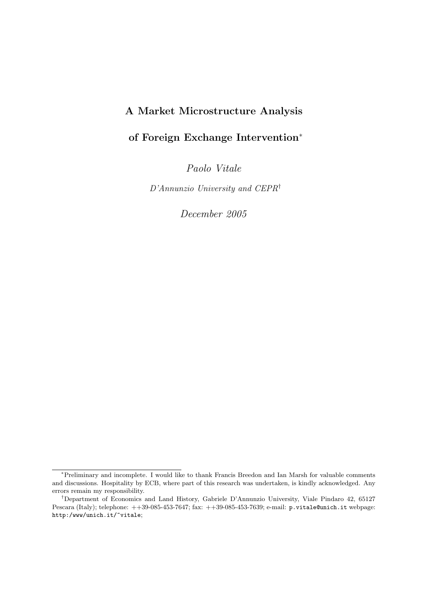# A Market Microstructure Analysis

# of Foreign Exchange Intervention<sup>∗</sup>

Paolo Vitale

D'Annunzio University and CEPR†

December 2005

<sup>∗</sup>Preliminary and incomplete. I would like to thank Francis Breedon and Ian Marsh for valuable comments and discussions. Hospitality by ECB, where part of this research was undertaken, is kindly acknowledged. Any errors remain my responsibility.

<sup>†</sup>Department of Economics and Land History, Gabriele D'Annunzio University, Viale Pindaro 42, 65127 Pescara (Italy); telephone: ++39-085-453-7647; fax: ++39-085-453-7639; e-mail: p.vitale@unich.it webpage: http:/www/unich.it/~vitale;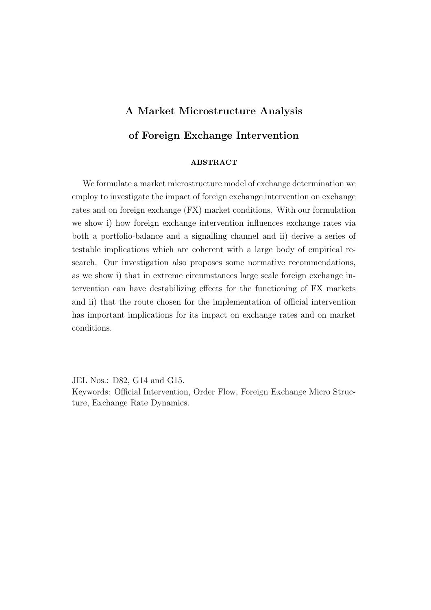# A Market Microstructure Analysis of Foreign Exchange Intervention

### ABSTRACT

We formulate a market microstructure model of exchange determination we employ to investigate the impact of foreign exchange intervention on exchange rates and on foreign exchange (FX) market conditions. With our formulation we show i) how foreign exchange intervention influences exchange rates via both a portfolio-balance and a signalling channel and ii) derive a series of testable implications which are coherent with a large body of empirical research. Our investigation also proposes some normative recommendations, as we show i) that in extreme circumstances large scale foreign exchange intervention can have destabilizing effects for the functioning of FX markets and ii) that the route chosen for the implementation of official intervention has important implications for its impact on exchange rates and on market conditions.

JEL Nos.: D82, G14 and G15.

Keywords: Official Intervention, Order Flow, Foreign Exchange Micro Structure, Exchange Rate Dynamics.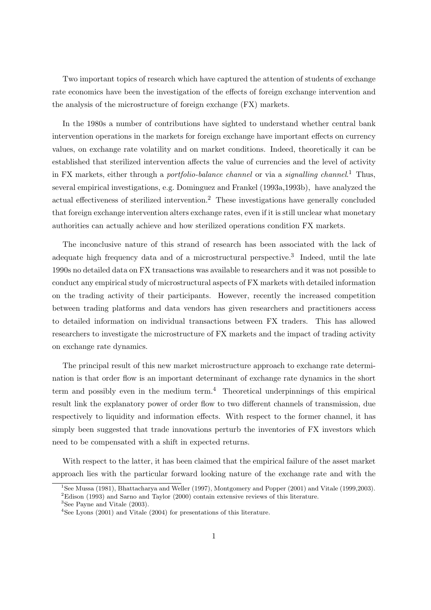Two important topics of research which have captured the attention of students of exchange rate economics have been the investigation of the effects of foreign exchange intervention and the analysis of the microstructure of foreign exchange (FX) markets.

In the 1980s a number of contributions have sighted to understand whether central bank intervention operations in the markets for foreign exchange have important effects on currency values, on exchange rate volatility and on market conditions. Indeed, theoretically it can be established that sterilized intervention affects the value of currencies and the level of activity in FX markets, either through a *portfolio-balance channel* or via a *signalling channel*.<sup>1</sup> Thus, several empirical investigations, e.g. Dominguez and Frankel (1993a,1993b), have analyzed the actual effectiveness of sterilized intervention.<sup>2</sup> These investigations have generally concluded that foreign exchange intervention alters exchange rates, even if it is still unclear what monetary authorities can actually achieve and how sterilized operations condition FX markets.

The inconclusive nature of this strand of research has been associated with the lack of adequate high frequency data and of a microstructural perspective.<sup>3</sup> Indeed, until the late 1990s no detailed data on FX transactions was available to researchers and it was not possible to conduct any empirical study of microstructural aspects of FX markets with detailed information on the trading activity of their participants. However, recently the increased competition between trading platforms and data vendors has given researchers and practitioners access to detailed information on individual transactions between FX traders. This has allowed researchers to investigate the microstructure of FX markets and the impact of trading activity on exchange rate dynamics.

The principal result of this new market microstructure approach to exchange rate determination is that order flow is an important determinant of exchange rate dynamics in the short term and possibly even in the medium term.<sup>4</sup> Theoretical underpinnings of this empirical result link the explanatory power of order flow to two different channels of transmission, due respectively to liquidity and information effects. With respect to the former channel, it has simply been suggested that trade innovations perturb the inventories of FX investors which need to be compensated with a shift in expected returns.

With respect to the latter, it has been claimed that the empirical failure of the asset market approach lies with the particular forward looking nature of the exchange rate and with the

<sup>1</sup>See Mussa (1981), Bhattacharya and Weller (1997), Montgomery and Popper (2001) and Vitale (1999,2003).

<sup>2</sup>Edison (1993) and Sarno and Taylor (2000) contain extensive reviews of this literature.

<sup>&</sup>lt;sup>3</sup>See Payne and Vitale (2003).

<sup>&</sup>lt;sup>4</sup>See Lyons (2001) and Vitale (2004) for presentations of this literature.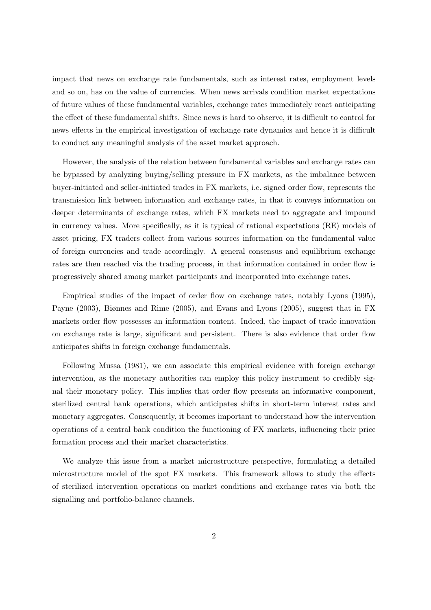impact that news on exchange rate fundamentals, such as interest rates, employment levels and so on, has on the value of currencies. When news arrivals condition market expectations of future values of these fundamental variables, exchange rates immediately react anticipating the effect of these fundamental shifts. Since news is hard to observe, it is difficult to control for news effects in the empirical investigation of exchange rate dynamics and hence it is difficult to conduct any meaningful analysis of the asset market approach.

However, the analysis of the relation between fundamental variables and exchange rates can be bypassed by analyzing buying/selling pressure in FX markets, as the imbalance between buyer-initiated and seller-initiated trades in FX markets, i.e. signed order flow, represents the transmission link between information and exchange rates, in that it conveys information on deeper determinants of exchange rates, which FX markets need to aggregate and impound in currency values. More specifically, as it is typical of rational expectations (RE) models of asset pricing, FX traders collect from various sources information on the fundamental value of foreign currencies and trade accordingly. A general consensus and equilibrium exchange rates are then reached via the trading process, in that information contained in order flow is progressively shared among market participants and incorporated into exchange rates.

Empirical studies of the impact of order flow on exchange rates, notably Lyons (1995), Payne (2003), Biønnes and Rime (2005), and Evans and Lyons (2005), suggest that in FX markets order flow possesses an information content. Indeed, the impact of trade innovation on exchange rate is large, significant and persistent. There is also evidence that order flow anticipates shifts in foreign exchange fundamentals.

Following Mussa (1981), we can associate this empirical evidence with foreign exchange intervention, as the monetary authorities can employ this policy instrument to credibly signal their monetary policy. This implies that order flow presents an informative component, sterilized central bank operations, which anticipates shifts in short-term interest rates and monetary aggregates. Consequently, it becomes important to understand how the intervention operations of a central bank condition the functioning of FX markets, influencing their price formation process and their market characteristics.

We analyze this issue from a market microstructure perspective, formulating a detailed microstructure model of the spot FX markets. This framework allows to study the effects of sterilized intervention operations on market conditions and exchange rates via both the signalling and portfolio-balance channels.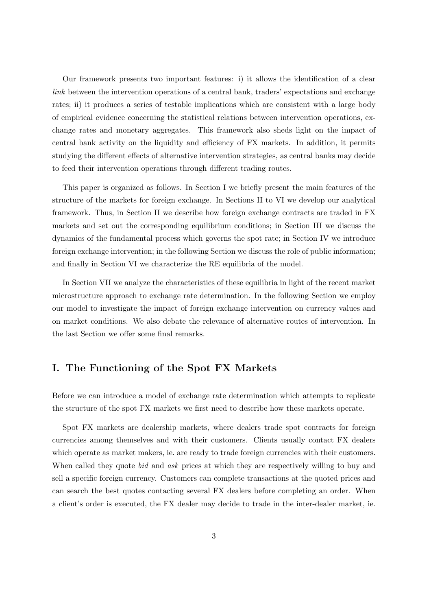Our framework presents two important features: i) it allows the identification of a clear link between the intervention operations of a central bank, traders' expectations and exchange rates; ii) it produces a series of testable implications which are consistent with a large body of empirical evidence concerning the statistical relations between intervention operations, exchange rates and monetary aggregates. This framework also sheds light on the impact of central bank activity on the liquidity and efficiency of FX markets. In addition, it permits studying the different effects of alternative intervention strategies, as central banks may decide to feed their intervention operations through different trading routes.

This paper is organized as follows. In Section I we briefly present the main features of the structure of the markets for foreign exchange. In Sections II to VI we develop our analytical framework. Thus, in Section II we describe how foreign exchange contracts are traded in FX markets and set out the corresponding equilibrium conditions; in Section III we discuss the dynamics of the fundamental process which governs the spot rate; in Section IV we introduce foreign exchange intervention; in the following Section we discuss the role of public information; and finally in Section VI we characterize the RE equilibria of the model.

In Section VII we analyze the characteristics of these equilibria in light of the recent market microstructure approach to exchange rate determination. In the following Section we employ our model to investigate the impact of foreign exchange intervention on currency values and on market conditions. We also debate the relevance of alternative routes of intervention. In the last Section we offer some final remarks.

# I. The Functioning of the Spot FX Markets

Before we can introduce a model of exchange rate determination which attempts to replicate the structure of the spot FX markets we first need to describe how these markets operate.

Spot FX markets are dealership markets, where dealers trade spot contracts for foreign currencies among themselves and with their customers. Clients usually contact FX dealers which operate as market makers, ie. are ready to trade foreign currencies with their customers. When called they quote *bid* and *ask* prices at which they are respectively willing to buy and sell a specific foreign currency. Customers can complete transactions at the quoted prices and can search the best quotes contacting several FX dealers before completing an order. When a client's order is executed, the FX dealer may decide to trade in the inter-dealer market, ie.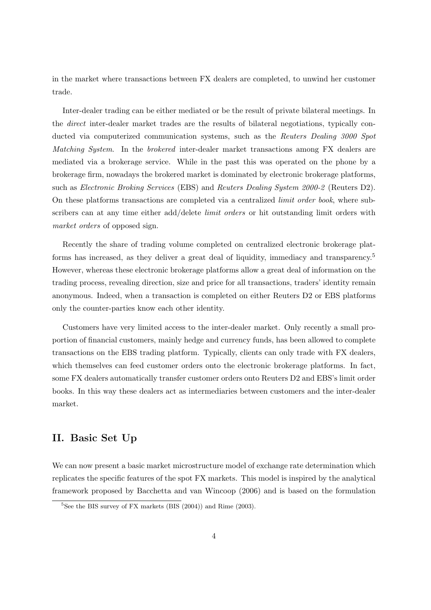in the market where transactions between FX dealers are completed, to unwind her customer trade.

Inter-dealer trading can be either mediated or be the result of private bilateral meetings. In the direct inter-dealer market trades are the results of bilateral negotiations, typically conducted via computerized communication systems, such as the Reuters Dealing 3000 Spot Matching System. In the brokered inter-dealer market transactions among FX dealers are mediated via a brokerage service. While in the past this was operated on the phone by a brokerage firm, nowadays the brokered market is dominated by electronic brokerage platforms, such as Electronic Broking Services (EBS) and Reuters Dealing System 2000-2 (Reuters D2). On these platforms transactions are completed via a centralized limit order book, where subscribers can at any time either add/delete *limit orders* or hit outstanding limit orders with market orders of opposed sign.

Recently the share of trading volume completed on centralized electronic brokerage platforms has increased, as they deliver a great deal of liquidity, immediacy and transparency.<sup>5</sup> However, whereas these electronic brokerage platforms allow a great deal of information on the trading process, revealing direction, size and price for all transactions, traders' identity remain anonymous. Indeed, when a transaction is completed on either Reuters D2 or EBS platforms only the counter-parties know each other identity.

Customers have very limited access to the inter-dealer market. Only recently a small proportion of financial customers, mainly hedge and currency funds, has been allowed to complete transactions on the EBS trading platform. Typically, clients can only trade with FX dealers, which themselves can feed customer orders onto the electronic brokerage platforms. In fact, some FX dealers automatically transfer customer orders onto Reuters D2 and EBS's limit order books. In this way these dealers act as intermediaries between customers and the inter-dealer market.

## II. Basic Set Up

We can now present a basic market microstructure model of exchange rate determination which replicates the specific features of the spot FX markets. This model is inspired by the analytical framework proposed by Bacchetta and van Wincoop (2006) and is based on the formulation

 ${}^{5}$ See the BIS survey of FX markets (BIS (2004)) and Rime (2003).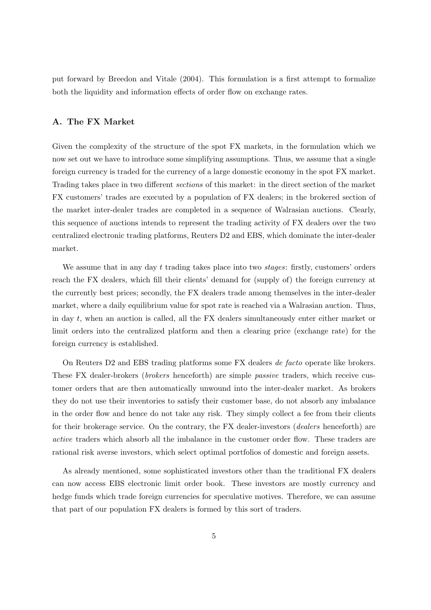put forward by Breedon and Vitale (2004). This formulation is a first attempt to formalize both the liquidity and information effects of order flow on exchange rates.

#### A. The FX Market

Given the complexity of the structure of the spot FX markets, in the formulation which we now set out we have to introduce some simplifying assumptions. Thus, we assume that a single foreign currency is traded for the currency of a large domestic economy in the spot FX market. Trading takes place in two different sections of this market: in the direct section of the market FX customers' trades are executed by a population of FX dealers; in the brokered section of the market inter-dealer trades are completed in a sequence of Walrasian auctions. Clearly, this sequence of auctions intends to represent the trading activity of FX dealers over the two centralized electronic trading platforms, Reuters D2 and EBS, which dominate the inter-dealer market.

We assume that in any day t trading takes place into two  $stages:$  firstly, customers' orders reach the FX dealers, which fill their clients' demand for (supply of) the foreign currency at the currently best prices; secondly, the FX dealers trade among themselves in the inter-dealer market, where a daily equilibrium value for spot rate is reached via a Walrasian auction. Thus, in day t, when an auction is called, all the FX dealers simultaneously enter either market or limit orders into the centralized platform and then a clearing price (exchange rate) for the foreign currency is established.

On Reuters D2 and EBS trading platforms some FX dealers de facto operate like brokers. These FX dealer-brokers (brokers henceforth) are simple passive traders, which receive customer orders that are then automatically unwound into the inter-dealer market. As brokers they do not use their inventories to satisfy their customer base, do not absorb any imbalance in the order flow and hence do not take any risk. They simply collect a fee from their clients for their brokerage service. On the contrary, the FX dealer-investors (*dealers* henceforth) are active traders which absorb all the imbalance in the customer order flow. These traders are rational risk averse investors, which select optimal portfolios of domestic and foreign assets.

As already mentioned, some sophisticated investors other than the traditional FX dealers can now access EBS electronic limit order book. These investors are mostly currency and hedge funds which trade foreign currencies for speculative motives. Therefore, we can assume that part of our population FX dealers is formed by this sort of traders.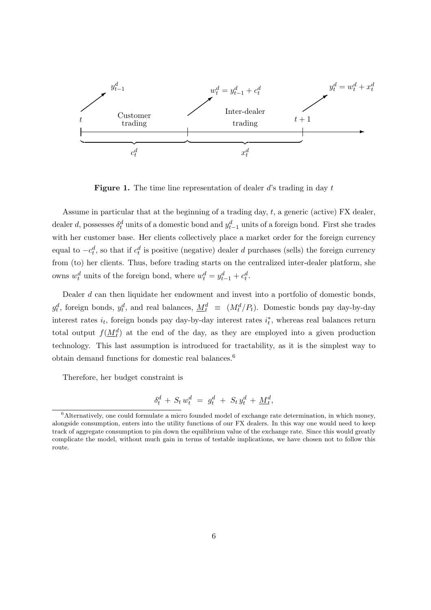

**Figure 1.** The time line representation of dealer  $d$ 's trading in day  $t$ 

Assume in particular that at the beginning of a trading day,  $t$ , a generic (active) FX dealer, dealer d, possesses  $\delta_t^d$  units of a domestic bond and  $y_{t-1}^d$  units of a foreign bond. First she trades with her customer base. Her clients collectively place a market order for the foreign currency equal to  $-c_t^d$ , so that if  $c_t^d$  is positive (negative) dealer d purchases (sells) the foreign currency from (to) her clients. Thus, before trading starts on the centralized inter-dealer platform, she owns  $w_t^d$  units of the foreign bond, where  $w_t^d = y_{t-1}^d + c_t^d$ .

Dealer  $d$  can then liquidate her endowment and invest into a portfolio of domestic bonds,  $g_t^d$ , foreign bonds,  $y_t^d$ , and real balances,  $\underline{M}_t^d \equiv (M_t^d/P_t)$ . Domestic bonds pay day-by-day interest rates  $i_t$ , foreign bonds pay day-by-day interest rates  $i_t^*$ , whereas real balances return total output  $f(\underline{M_t^d})$  at the end of the day, as they are employed into a given production technology. This last assumption is introduced for tractability, as it is the simplest way to obtain demand functions for domestic real balances.<sup>6</sup>

Therefore, her budget constraint is

$$
\delta_t^d \, + \, S_t \, w_t^d \ = \ g_t^d \ + \ S_t \, y_t^d \, + \, \underline{M}_t^d,
$$

 $6$ Alternatively, one could formulate a micro founded model of exchange rate determination, in which money, alongside consumption, enters into the utility functions of our FX dealers. In this way one would need to keep track of aggregate consumption to pin down the equilibrium value of the exchange rate. Since this would greatly complicate the model, without much gain in terms of testable implications, we have chosen not to follow this route.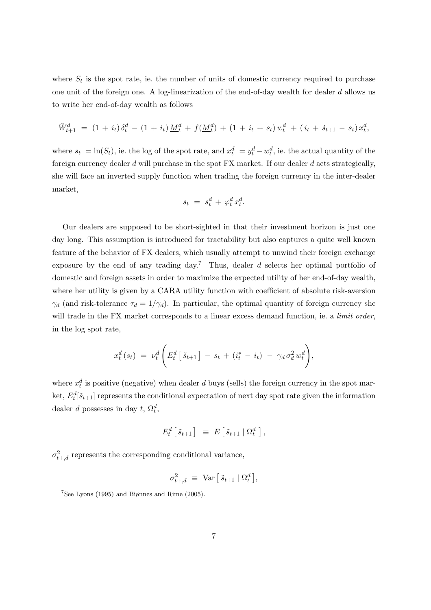where  $S_t$  is the spot rate, ie. the number of units of domestic currency required to purchase one unit of the foreign one. A log-linearization of the end-of-day wealth for dealer d allows us to write her end-of-day wealth as follows

$$
\tilde{W}_{t+1}^d = (1 + i_t) \delta_t^d - (1 + i_t) \underline{M}_t^d + f(\underline{M}_t^d) + (1 + i_t + s_t) w_t^d + (i_t + \tilde{s}_{t+1} - s_t) x_t^d,
$$

where  $s_t = \ln(S_t)$ , ie. the log of the spot rate, and  $x_t^d = y_t^d - w_t^d$ , ie. the actual quantity of the foreign currency dealer d will purchase in the spot FX market. If our dealer d acts strategically, she will face an inverted supply function when trading the foreign currency in the inter-dealer market,

$$
s_t = s_t^d + \varphi_t^d x_t^d.
$$

Our dealers are supposed to be short-sighted in that their investment horizon is just one day long. This assumption is introduced for tractability but also captures a quite well known feature of the behavior of FX dealers, which usually attempt to unwind their foreign exchange exposure by the end of any trading day.<sup>7</sup> Thus, dealer d selects her optimal portfolio of domestic and foreign assets in order to maximize the expected utility of her end-of-day wealth, where her utility is given by a CARA utility function with coefficient of absolute risk-aversion  $\gamma_d$  (and risk-tolerance  $\tau_d = 1/\gamma_d$ ). In particular, the optimal quantity of foreign currency she will trade in the FX market corresponds to a linear excess demand function, ie. a *limit order*, in the log spot rate,

$$
x_t^d(s_t) = \nu_t^d \left( E_t^d \left[ \tilde{s}_{t+1} \right] - s_t + (i_t^* - i_t) - \gamma_d \sigma_d^2 w_t^d \right),
$$

where  $x_t^d$  is positive (negative) when dealer d buys (sells) the foreign currency in the spot market,  $E_t^d[\tilde{s}_{t+1}]$  represents the conditional expectation of next day spot rate given the information dealer d possesses in day  $t$ ,  $\Omega_t^d$ ,

$$
E_t^d \left[ \tilde{s}_{t+1} \right] \equiv E \left[ \tilde{s}_{t+1} \mid \Omega_t^d \right],
$$

 $\sigma_{t+,d}^2$  represents the corresponding conditional variance,

$$
\sigma_{t+,d}^2 \ \equiv \ \text{Var}\left[\,\tilde{s}_{t+1} \mid \Omega_t^d\,\right],
$$

 $7$ See Lyons (1995) and Biønnes and Rime (2005).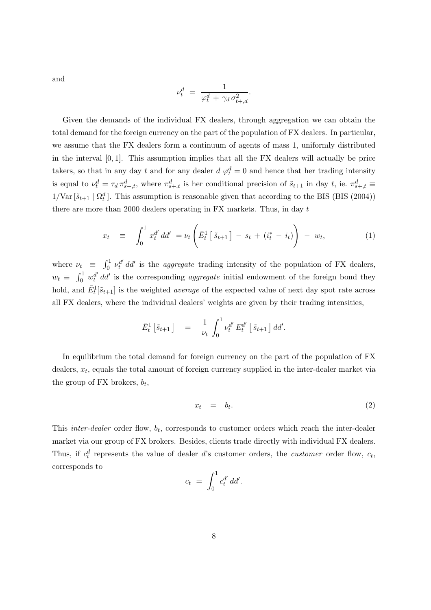and

$$
\nu_t^d = \frac{1}{\varphi_t^d + \gamma_d \sigma_{t+,d}^2}.
$$

Given the demands of the individual FX dealers, through aggregation we can obtain the total demand for the foreign currency on the part of the population of FX dealers. In particular, we assume that the FX dealers form a continuum of agents of mass 1, uniformly distributed in the interval  $[0, 1]$ . This assumption implies that all the FX dealers will actually be price takers, so that in any day t and for any dealer  $d \varphi_t^d = 0$  and hence that her trading intensity is equal to  $\nu_t^d = \tau_d \pi_{s+,t}^d$ , where  $\pi_{s+,t}^d$  is her conditional precision of  $\tilde{s}_{t+1}$  in day t, ie.  $\pi_{s+,t}^d \equiv$  $1/\text{Var}[\tilde{s}_{t+1} | \Omega_t^d]$ . This assumption is reasonable given that according to the BIS (BIS (2004)) there are more than 2000 dealers operating in FX markets. Thus, in day t

$$
x_t \equiv \int_0^1 x_t^{d'} \, d\!d' = \nu_t \left( \bar{E}_t^1 \left[ \tilde{s}_{t+1} \right] - s_t + (i_t^* - i_t) \right) - w_t, \tag{1}
$$

where  $\nu_t \equiv \int_0^1$  $v_0^{1}$   $\nu_t^{d'}$  dd' is the *aggregate* trading intensity of the population of FX dealers,  $w_t \equiv \int_0^1$  $\int_0^1 w_t^{d'} dt'$  is the corresponding *aggregate* initial endowment of the foreign bond they hold, and  $\bar{E}^1_t[\tilde{s}_{t+1}]$  is the weighted *average* of the expected value of next day spot rate across all FX dealers, where the individual dealers' weights are given by their trading intensities,

$$
\bar{E}_t^1 \left[ \tilde{s}_{t+1} \right] = \frac{1}{\nu_t} \int_0^1 \nu_t^{d'} E_t^{d'} \left[ \tilde{s}_{t+1} \right] d d'.
$$

In equilibrium the total demand for foreign currency on the part of the population of FX dealers,  $x_t$ , equals the total amount of foreign currency supplied in the inter-dealer market via the group of FX brokers,  $b_t$ ,

$$
x_t = b_t. \t\t(2)
$$

This *inter-dealer* order flow,  $b_t$ , corresponds to customer orders which reach the inter-dealer market via our group of FX brokers. Besides, clients trade directly with individual FX dealers. Thus, if  $c_t^d$  represents the value of dealer d's customer orders, the *customer* order flow,  $c_t$ , corresponds to  $\overline{r}$ 1

$$
c_t = \int_0^1 c_t^{d'} dd'.
$$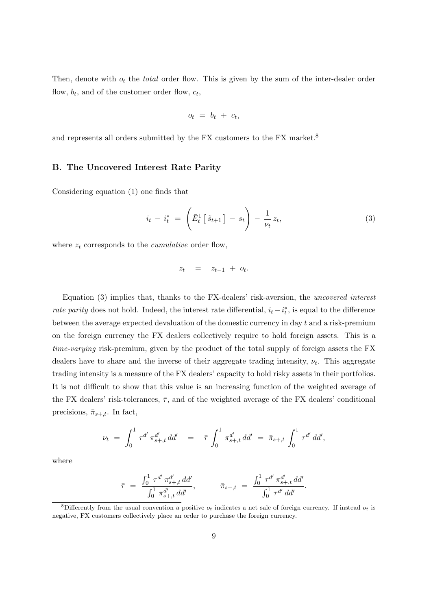Then, denote with  $o_t$  the *total* order flow. This is given by the sum of the inter-dealer order flow,  $b_t$ , and of the customer order flow,  $c_t$ ,

$$
o_t = b_t + c_t,
$$

and represents all orders submitted by the FX customers to the FX market.<sup>8</sup>

#### B. The Uncovered Interest Rate Parity

Considering equation (1) one finds that

$$
i_t - i_t^* = \left(\bar{E}_t^1 \left[\tilde{s}_{t+1}\right] - s_t\right) - \frac{1}{\nu_t} z_t,
$$
\n(3)

where  $z_t$  corresponds to the *cumulative* order flow,

$$
z_t = z_{t-1} + o_t.
$$

Equation (3) implies that, thanks to the FX-dealers' risk-aversion, the uncovered interest rate parity does not hold. Indeed, the interest rate differential,  $i_t - i_t^*$ , is equal to the difference between the average expected devaluation of the domestic currency in day t and a risk-premium on the foreign currency the FX dealers collectively require to hold foreign assets. This is a time-varying risk-premium, given by the product of the total supply of foreign assets the FX dealers have to share and the inverse of their aggregate trading intensity,  $\nu_t$ . This aggregate trading intensity is a measure of the FX dealers' capacity to hold risky assets in their portfolios. It is not difficult to show that this value is an increasing function of the weighted average of the FX dealers' risk-tolerances,  $\bar{\tau}$ , and of the weighted average of the FX dealers' conditional precisions,  $\bar{\pi}_{s+,t}$ . In fact,

$$
\nu_t = \int_0^1 \tau^{d'} \pi_{s+,t}^{d'} dd' = \bar{\tau} \int_0^1 \pi_{s+,t}^{d'} dd' = \bar{\pi}_{s+,t} \int_0^1 \tau^{d'} dd',
$$

where

$$
\bar{\tau} = \frac{\int_0^1 \tau^{d'} \pi_{s+,t}^{d'} dd'}{\int_0^1 \pi_{s+,t}^{d'} dd'}, \qquad \bar{\pi}_{s+,t} = \frac{\int_0^1 \tau^{d'} \pi_{s+,t}^{d'} dd'}{\int_0^1 \tau^{d'} dd'}.
$$

<sup>&</sup>lt;sup>8</sup>Differently from the usual convention a positive  $o_t$  indicates a net sale of foreign currency. If instead  $o_t$  is negative, FX customers collectively place an order to purchase the foreign currency.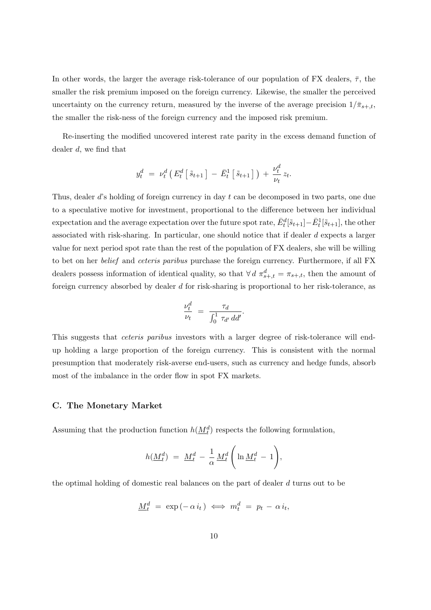In other words, the larger the average risk-tolerance of our population of FX dealers,  $\bar{\tau}$ , the smaller the risk premium imposed on the foreign currency. Likewise, the smaller the perceived uncertainty on the currency return, measured by the inverse of the average precision  $1/\bar{\pi}_{s+t}$ , the smaller the risk-ness of the foreign currency and the imposed risk premium.

Re-inserting the modified uncovered interest rate parity in the excess demand function of dealer d, we find that

$$
y_t^d = \nu_t^d \left( E_t^d \left[ \tilde{s}_{t+1} \right] - \bar{E}_t^1 \left[ \tilde{s}_{t+1} \right] \right) + \frac{\nu_t^d}{\nu_t} z_t.
$$

Thus, dealer d's holding of foreign currency in day t can be decomposed in two parts, one due to a speculative motive for investment, proportional to the difference between her individual expectation and the average expectation over the future spot rate,  $\bar{E}_t^d[\tilde{s}_{t+1}] - \bar{E}_t^1[\tilde{s}_{t+1}]$ , the other associated with risk-sharing. In particular, one should notice that if dealer d expects a larger value for next period spot rate than the rest of the population of FX dealers, she will be willing to bet on her belief and ceteris paribus purchase the foreign currency. Furthermore, if all FX dealers possess information of identical quality, so that  $\forall d \pi_{s+,t}^d = \pi_{s+,t}$ , then the amount of foreign currency absorbed by dealer d for risk-sharing is proportional to her risk-tolerance, as

$$
\frac{\nu_t^d}{\nu_t} = \frac{\tau_d}{\int_0^1 \tau_{d'} d d'}.
$$

This suggests that ceteris paribus investors with a larger degree of risk-tolerance will endup holding a large proportion of the foreign currency. This is consistent with the normal presumption that moderately risk-averse end-users, such as currency and hedge funds, absorb most of the imbalance in the order flow in spot FX markets.

#### C. The Monetary Market

Assuming that the production function  $h(\underline{M}_t^d)$  respects the following formulation,

$$
h(\underline{M}_t^d) = \underline{M}_t^d - \frac{1}{\alpha} \underline{M}_t^d \left( \ln \underline{M}_t^d - 1 \right),
$$

the optimal holding of domestic real balances on the part of dealer d turns out to be

$$
\underline{M}_t^d = \exp(-\alpha i_t) \iff m_t^d = p_t - \alpha i_t,
$$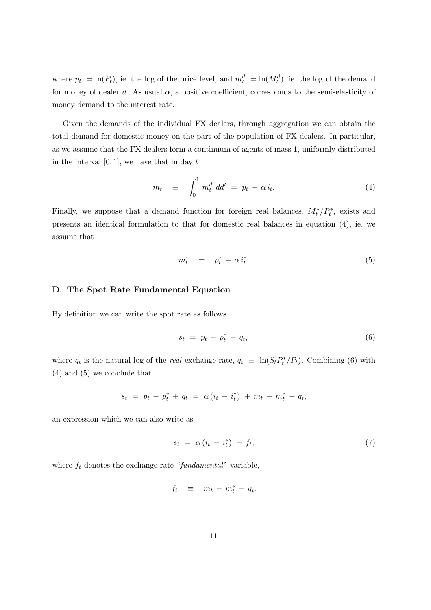where  $p_t = \ln(P_t)$ , ie. the log of the price level, and  $m_t^d = \ln(M_t^d)$ , ie. the log of the demand for money of dealer d. As usual  $\alpha$ , a positive coefficient, corresponds to the semi-elasticity of money demand to the interest rate.

Given the demands of the individual FX dealers, through aggregation we can obtain the total demand for domestic money on the part of the population of FX dealers. In particular, as we assume that the FX dealers form a continuum of agents of mass 1, uniformly distributed in the interval  $[0, 1]$ , we have that in day t

$$
m_t \equiv \int_0^1 m_t^{d'} \, dd' = p_t - \alpha \, i_t. \tag{4}
$$

Finally, we suppose that a demand function for foreign real balances,  $M_t^*/P_t^*$ , exists and presents an identical formulation to that for domestic real balances in equation (4), ie. we assume that

$$
m_t^* = p_t^* - \alpha i_t^*.
$$

#### D. The Spot Rate Fundamental Equation

By definition we can write the spot rate as follows

$$
s_t = p_t - p_t^* + q_t, \tag{6}
$$

where  $q_t$  is the natural log of the *real* exchange rate,  $q_t \equiv \ln(S_t P_t^* / P_t)$ . Combining (6) with (4) and (5) we conclude that

$$
s_t = p_t - p_t^* + q_t = \alpha (i_t - i_t^*) + m_t - m_t^* + q_t,
$$

an expression which we can also write as

$$
s_t = \alpha \left( i_t - i_t^* \right) + f_t, \tag{7}
$$

where  $f_t$  denotes the exchange rate "fundamental" variable,

$$
f_t \equiv m_t - m_t^* + q_t.
$$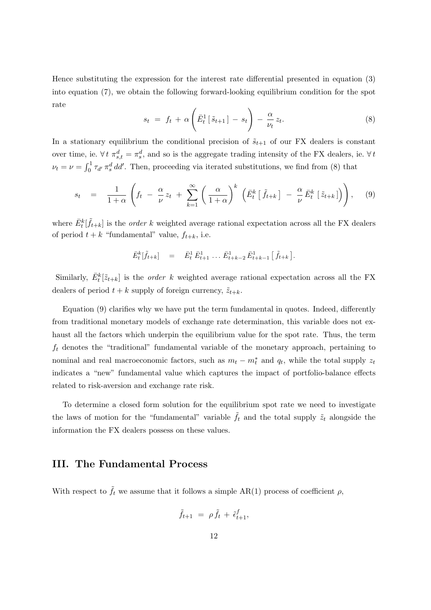Hence substituting the expression for the interest rate differential presented in equation (3) into equation (7), we obtain the following forward-looking equilibrium condition for the spot rate  $\overline{a}$ !<br>}

$$
s_t = f_t + \alpha \left( \bar{E}_t^1 \left[ \tilde{s}_{t+1} \right] - s_t \right) - \frac{\alpha}{\nu_t} z_t.
$$
 (8)

In a stationary equilibrium the conditional precision of  $\tilde{s}_{t+1}$  of our FX dealers is constant over time, ie.  $\forall t \pi_{s,t}^d = \pi_s^d$ , and so is the aggregate trading intensity of the FX dealers, ie.  $\forall t$  $\nu_t = \nu = \int_0^1$  $\int_0^1 \tau_{d'} \pi_s^d \, dd'$ . Then, proceeding via iterated substitutions, we find from (8) that

$$
s_t = \frac{1}{1+\alpha} \left( f_t - \frac{\alpha}{\nu} z_t + \sum_{k=1}^{\infty} \left( \frac{\alpha}{1+\alpha} \right)^k \left( \bar{E}_t^k \left[ \tilde{f}_{t+k} \right] - \frac{\alpha}{\nu} \bar{E}_t^k \left[ \tilde{z}_{t+k} \right] \right) \right), \quad (9)
$$

where  $\bar{E}_{t}^{k}[\tilde{f}_{t+k}]$  is the *order k* weighted average rational expectation across all the FX dealers of period  $t + k$  "fundamental" value,  $f_{t+k}$ , i.e.

$$
\bar{E}_t^k[\tilde{f}_{t+k}] = \bar{E}_t^1 \bar{E}_{t+1}^1 \dots \bar{E}_{t+k-2}^1 \bar{E}_{t+k-1}^1 [\tilde{f}_{t+k}].
$$

Similarly,  $\bar{E}_t^k[\tilde{z}_{t+k}]$  is the *order* k weighted average rational expectation across all the FX dealers of period  $t + k$  supply of foreign currency,  $\tilde{z}_{t+k}$ .

Equation (9) clarifies why we have put the term fundamental in quotes. Indeed, differently from traditional monetary models of exchange rate determination, this variable does not exhaust all the factors which underpin the equilibrium value for the spot rate. Thus, the term  $f_t$  denotes the "traditional" fundamental variable of the monetary approach, pertaining to nominal and real macroeconomic factors, such as  $m_t - m_t^*$  and  $q_t$ , while the total supply  $z_t$ indicates a "new" fundamental value which captures the impact of portfolio-balance effects related to risk-aversion and exchange rate risk.

To determine a closed form solution for the equilibrium spot rate we need to investigate the laws of motion for the "fundamental" variable  $\tilde{f}_t$  and the total supply  $\tilde{z}_t$  alongside the information the FX dealers possess on these values.

## III. The Fundamental Process

With respect to  $\tilde{f}_t$  we assume that it follows a simple AR(1) process of coefficient  $\rho$ ,

$$
\tilde{f}_{t+1} = \rho \tilde{f}_t + \tilde{\epsilon}_{t+1}^f,
$$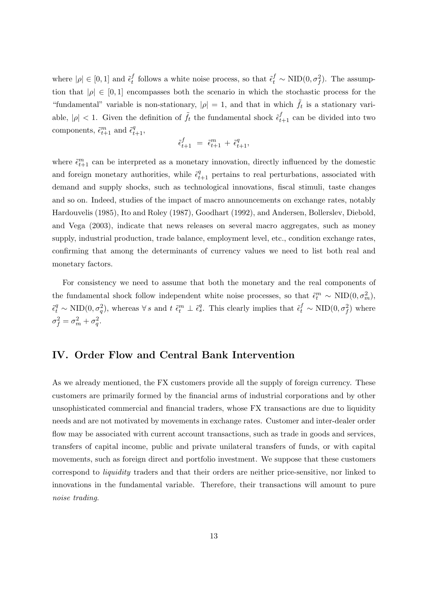where  $|\rho| \in [0,1]$  and  $\tilde{\epsilon}_t^f$ f follows a white noise process, so that  $\tilde{\epsilon}_t^f \sim \text{NID}(0, \sigma_f^2)$ . The assumption that  $|\rho| \in [0,1]$  encompasses both the scenario in which the stochastic process for the "fundamental" variable is non-stationary,  $|\rho| = 1$ , and that in which  $\tilde{f}_t$  is a stationary variable,  $|\rho|$  < 1. Given the definition of  $\tilde{f}_t$  the fundamental shock  $\tilde{\epsilon}_{t+1}^f$  can be divided into two components,  $\tilde{\epsilon}_{t+1}^m$  and  $\tilde{\epsilon}_{t+1}^q$ ,

$$
\tilde{\epsilon}_{t+1}^f \ = \ \tilde{\epsilon}_{t+1}^m \, + \, \tilde{\epsilon}_{t+1}^q,
$$

where  $\tilde{\epsilon}_{t+1}^m$  can be interpreted as a monetary innovation, directly influenced by the domestic and foreign monetary authorities, while  $\tilde{\epsilon}_{t+1}^q$  pertains to real perturbations, associated with demand and supply shocks, such as technological innovations, fiscal stimuli, taste changes and so on. Indeed, studies of the impact of macro announcements on exchange rates, notably Hardouvelis (1985), Ito and Roley (1987), Goodhart (1992), and Andersen, Bollerslev, Diebold, and Vega (2003), indicate that news releases on several macro aggregates, such as money supply, industrial production, trade balance, employment level, etc., condition exchange rates, confirming that among the determinants of currency values we need to list both real and monetary factors.

For consistency we need to assume that both the monetary and the real components of the fundamental shock follow independent white noise processes, so that  $\tilde{\epsilon}_t^m \sim \text{NID}(0, \sigma_m^2)$ ,  $\tilde{\epsilon}_t^q \sim \text{NID}(0, \sigma_q^2)$ , whereas  $\forall s$  and  $t \tilde{\epsilon}_t^m \perp \tilde{\epsilon}_s^q$ . This clearly implies that  $\tilde{\epsilon}_t^f \sim \text{NID}(0, \sigma_f^2)$  where  $\sigma_f^2 = \sigma_m^2 + \sigma_q^2.$ 

## IV. Order Flow and Central Bank Intervention

As we already mentioned, the FX customers provide all the supply of foreign currency. These customers are primarily formed by the financial arms of industrial corporations and by other unsophisticated commercial and financial traders, whose FX transactions are due to liquidity needs and are not motivated by movements in exchange rates. Customer and inter-dealer order flow may be associated with current account transactions, such as trade in goods and services, transfers of capital income, public and private unilateral transfers of funds, or with capital movements, such as foreign direct and portfolio investment. We suppose that these customers correspond to liquidity traders and that their orders are neither price-sensitive, nor linked to innovations in the fundamental variable. Therefore, their transactions will amount to pure noise trading.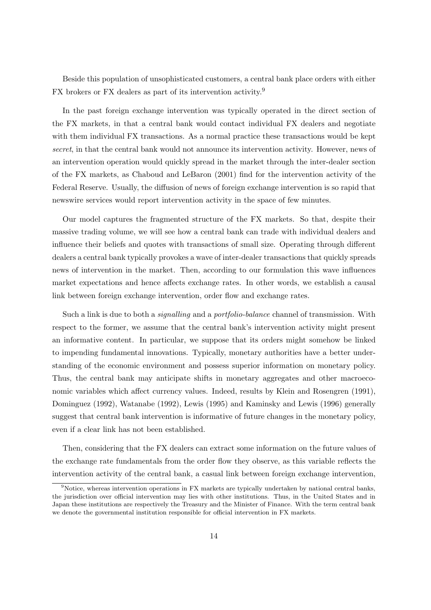Beside this population of unsophisticated customers, a central bank place orders with either FX brokers or FX dealers as part of its intervention activity.<sup>9</sup>

In the past foreign exchange intervention was typically operated in the direct section of the FX markets, in that a central bank would contact individual FX dealers and negotiate with them individual FX transactions. As a normal practice these transactions would be kept secret, in that the central bank would not announce its intervention activity. However, news of an intervention operation would quickly spread in the market through the inter-dealer section of the FX markets, as Chaboud and LeBaron (2001) find for the intervention activity of the Federal Reserve. Usually, the diffusion of news of foreign exchange intervention is so rapid that newswire services would report intervention activity in the space of few minutes.

Our model captures the fragmented structure of the FX markets. So that, despite their massive trading volume, we will see how a central bank can trade with individual dealers and influence their beliefs and quotes with transactions of small size. Operating through different dealers a central bank typically provokes a wave of inter-dealer transactions that quickly spreads news of intervention in the market. Then, according to our formulation this wave influences market expectations and hence affects exchange rates. In other words, we establish a causal link between foreign exchange intervention, order flow and exchange rates.

Such a link is due to both a *signalling* and a *portfolio-balance* channel of transmission. With respect to the former, we assume that the central bank's intervention activity might present an informative content. In particular, we suppose that its orders might somehow be linked to impending fundamental innovations. Typically, monetary authorities have a better understanding of the economic environment and possess superior information on monetary policy. Thus, the central bank may anticipate shifts in monetary aggregates and other macroeconomic variables which affect currency values. Indeed, results by Klein and Rosengren (1991), Dominguez (1992), Watanabe (1992), Lewis (1995) and Kaminsky and Lewis (1996) generally suggest that central bank intervention is informative of future changes in the monetary policy, even if a clear link has not been established.

Then, considering that the FX dealers can extract some information on the future values of the exchange rate fundamentals from the order flow they observe, as this variable reflects the intervention activity of the central bank, a casual link between foreign exchange intervention,

<sup>&</sup>lt;sup>9</sup>Notice, whereas intervention operations in FX markets are typically undertaken by national central banks, the jurisdiction over official intervention may lies with other institutions. Thus, in the United States and in Japan these institutions are respectively the Treasury and the Minister of Finance. With the term central bank we denote the governmental institution responsible for official intervention in FX markets.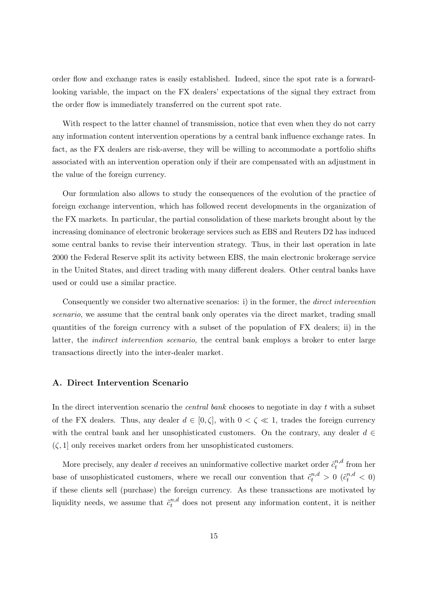order flow and exchange rates is easily established. Indeed, since the spot rate is a forwardlooking variable, the impact on the FX dealers' expectations of the signal they extract from the order flow is immediately transferred on the current spot rate.

With respect to the latter channel of transmission, notice that even when they do not carry any information content intervention operations by a central bank influence exchange rates. In fact, as the FX dealers are risk-averse, they will be willing to accommodate a portfolio shifts associated with an intervention operation only if their are compensated with an adjustment in the value of the foreign currency.

Our formulation also allows to study the consequences of the evolution of the practice of foreign exchange intervention, which has followed recent developments in the organization of the FX markets. In particular, the partial consolidation of these markets brought about by the increasing dominance of electronic brokerage services such as EBS and Reuters D2 has induced some central banks to revise their intervention strategy. Thus, in their last operation in late 2000 the Federal Reserve split its activity between EBS, the main electronic brokerage service in the United States, and direct trading with many different dealers. Other central banks have used or could use a similar practice.

Consequently we consider two alternative scenarios: i) in the former, the direct intervention scenario, we assume that the central bank only operates via the direct market, trading small quantities of the foreign currency with a subset of the population of FX dealers; ii) in the latter, the indirect intervention scenario, the central bank employs a broker to enter large transactions directly into the inter-dealer market.

#### A. Direct Intervention Scenario

In the direct intervention scenario the *central bank* chooses to negotiate in day  $t$  with a subset of the FX dealers. Thus, any dealer  $d \in [0, \zeta]$ , with  $0 < \zeta \ll 1$ , trades the foreign currency with the central bank and her unsophisticated customers. On the contrary, any dealer  $d \in$  $(\zeta, 1]$  only receives market orders from her unsophisticated customers.

More precisely, any dealer *d* receives an uninformative collective market order  $\tilde{c}_t^{n,d}$  $t^{n,a}$  from her base of unsophisticated customers, where we recall our convention that  $\tilde{c}_t^{n,d} > 0$   $(\tilde{c}_t^{n,d} < 0)$ if these clients sell (purchase) the foreign currency. As these transactions are motivated by liquidity needs, we assume that  $\tilde{c}_{t}^{n,d}$  does not present any information content, it is neither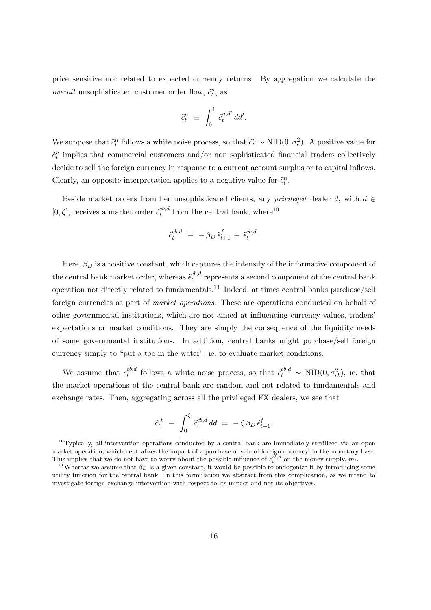price sensitive nor related to expected currency returns. By aggregation we calculate the overall unsophisticated customer order flow,  $\tilde{c}_t^n$ , as

$$
\tilde{c}_t^n \ \equiv \ \int_0^1 \, \tilde{c}_t^{n,d'} \, dd'.
$$

We suppose that  $\tilde{c}_t^n$  follows a white noise process, so that  $\tilde{c}_t^n \sim \text{NID}(0, \sigma_c^2)$ . A positive value for  $\tilde{c}_t^n$  implies that commercial customers and/or non sophisticated financial traders collectively decide to sell the foreign currency in response to a current account surplus or to capital inflows. Clearly, an opposite interpretation applies to a negative value for  $\tilde{c}_t^n$ .

Beside market orders from her unsophisticated clients, any privileged dealer d, with  $d \in$ [0,  $\zeta$ ], receives a market order  $\tilde{c}_{t}^{cb,d}$  $t_t^{cb,d}$  from the central bank, where<sup>10</sup>

$$
\tilde{c}_{t}^{cb,d} \equiv -\beta_D \tilde{\epsilon}_{t+1}^f + \tilde{\epsilon}_{t}^{cb,d}.
$$

Here,  $\beta_D$  is a positive constant, which captures the intensity of the informative component of the central bank market order, whereas  $\tilde{\epsilon}^{cb,d}_{t}$  $t^{co,a}$  represents a second component of the central bank operation not directly related to fundamentals.<sup>11</sup> Indeed, at times central banks purchase/sell foreign currencies as part of market operations. These are operations conducted on behalf of other governmental institutions, which are not aimed at influencing currency values, traders' expectations or market conditions. They are simply the consequence of the liquidity needs of some governmental institutions. In addition, central banks might purchase/sell foreign currency simply to "put a toe in the water", ie. to evaluate market conditions.

We assume that  $\tilde{\epsilon}_t^{cb,d}$  $\epsilon_t^{cb,d}$  follows a white noise process, so that  $\tilde{\epsilon}_t^{cb,d} \sim \text{NID}(0, \sigma_{cb}^2)$ , ie. that the market operations of the central bank are random and not related to fundamentals and exchange rates. Then, aggregating across all the privileged FX dealers, we see that

$$
\tilde{c}_t^{cb} \equiv \int_0^{\zeta} \tilde{c}_t^{cb,d} dd = -\zeta \beta_D \tilde{\epsilon}_{t+1}^f.
$$

 $10$ Typically, all intervention operations conducted by a central bank are immediately sterilized via an open market operation, which neutralizes the impact of a purchase or sale of foreign currency on the monetary base. This implies that we do not have to worry about the possible influence of  $\tilde{c}^{c\bar{b},d}_t$  on the money supply,  $m_t$ .

<sup>&</sup>lt;sup>11</sup>Whereas we assume that  $\beta_D$  is a given constant, it would be possible to endogenize it by introducing some utility function for the central bank. In this formulation we abstract from this complication, as we intend to investigate foreign exchange intervention with respect to its impact and not its objectives.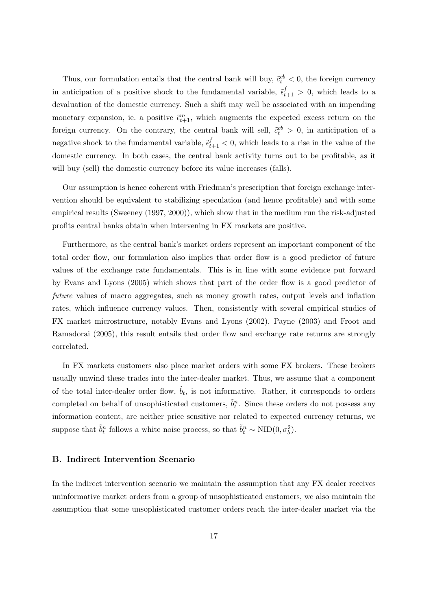Thus, our formulation entails that the central bank will buy,  $\tilde{c}_t^{cb} < 0$ , the foreign currency in anticipation of a positive shock to the fundamental variable,  $\tilde{\epsilon}_{t+1}^f > 0$ , which leads to a devaluation of the domestic currency. Such a shift may well be associated with an impending monetary expansion, ie. a positive  $\tilde{\epsilon}_{t+1}^m$ , which augments the expected excess return on the foreign currency. On the contrary, the central bank will sell,  $\tilde{c}_t^{cb} > 0$ , in anticipation of a negative shock to the fundamental variable,  $\tilde{\epsilon}_{t+1}^f < 0$ , which leads to a rise in the value of the domestic currency. In both cases, the central bank activity turns out to be profitable, as it will buy (sell) the domestic currency before its value increases (falls).

Our assumption is hence coherent with Friedman's prescription that foreign exchange intervention should be equivalent to stabilizing speculation (and hence profitable) and with some empirical results (Sweeney (1997, 2000)), which show that in the medium run the risk-adjusted profits central banks obtain when intervening in FX markets are positive.

Furthermore, as the central bank's market orders represent an important component of the total order flow, our formulation also implies that order flow is a good predictor of future values of the exchange rate fundamentals. This is in line with some evidence put forward by Evans and Lyons (2005) which shows that part of the order flow is a good predictor of future values of macro aggregates, such as money growth rates, output levels and inflation rates, which influence currency values. Then, consistently with several empirical studies of FX market microstructure, notably Evans and Lyons (2002), Payne (2003) and Froot and Ramadorai (2005), this result entails that order flow and exchange rate returns are strongly correlated.

In FX markets customers also place market orders with some FX brokers. These brokers usually unwind these trades into the inter-dealer market. Thus, we assume that a component of the total inter-dealer order flow,  $\tilde{b}_t$ , is not informative. Rather, it corresponds to orders completed on behalf of unsophisticated customers,  $\tilde{b}_t^n$ . Since these orders do not possess any information content, are neither price sensitive nor related to expected currency returns, we suppose that  $\tilde{b}_t^n$  follows a white noise process, so that  $\tilde{b}_t^n \sim \text{NID}(0, \sigma_b^2)$ .

#### B. Indirect Intervention Scenario

In the indirect intervention scenario we maintain the assumption that any FX dealer receives uninformative market orders from a group of unsophisticated customers, we also maintain the assumption that some unsophisticated customer orders reach the inter-dealer market via the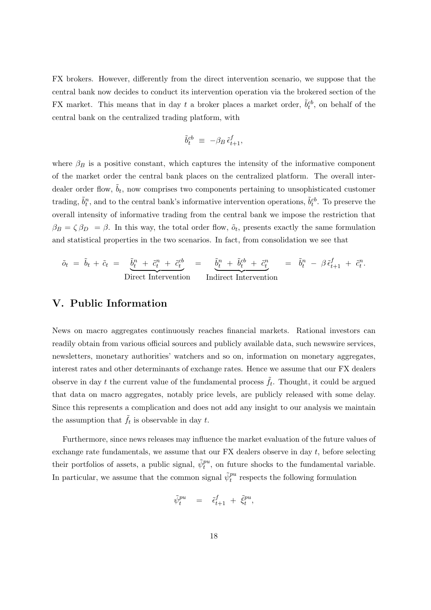FX brokers. However, differently from the direct intervention scenario, we suppose that the central bank now decides to conduct its intervention operation via the brokered section of the FX market. This means that in day t a broker places a market order,  $\tilde{b}_t^{cb}$ , on behalf of the central bank on the centralized trading platform, with

$$
\tilde{b}_t^{cb} \ \equiv \ -\beta_B \, \tilde{\epsilon}_{t+1}^f,
$$

where  $\beta_B$  is a positive constant, which captures the intensity of the informative component of the market order the central bank places on the centralized platform. The overall interdealer order flow,  $\tilde{b}_t$ , now comprises two components pertaining to unsophisticated customer trading,  $\tilde{b}_t^n$ , and to the central bank's informative intervention operations,  $\tilde{b}_t^{cb}$ . To preserve the overall intensity of informative trading from the central bank we impose the restriction that  $\beta_B = \zeta \beta_D = \beta$ . In this way, the total order flow,  $\tilde{\sigma}_t$ , presents exactly the same formulation and statistical properties in the two scenarios. In fact, from consolidation we see that

$$
\tilde{o}_t = \tilde{b}_t + \tilde{c}_t = \underbrace{\tilde{b}_t^n + \tilde{c}_t^n + \tilde{c}_t^{cb}}_{\text{Direct Intervention}} = \underbrace{\tilde{b}_t^n + \tilde{b}_t^{cb} + \tilde{c}_t^n}_{\text{Indirect Intervention}} = \tilde{b}_t^n - \beta \tilde{\epsilon}_{t+1}^f + \tilde{c}_t^n.
$$

## V. Public Information

News on macro aggregates continuously reaches financial markets. Rational investors can readily obtain from various official sources and publicly available data, such newswire services, newsletters, monetary authorities' watchers and so on, information on monetary aggregates, interest rates and other determinants of exchange rates. Hence we assume that our FX dealers observe in day t the current value of the fundamental process  $\tilde{f}_t$ . Thought, it could be argued that data on macro aggregates, notably price levels, are publicly released with some delay. Since this represents a complication and does not add any insight to our analysis we maintain the assumption that  $\tilde{f}_t$  is observable in day t.

Furthermore, since news releases may influence the market evaluation of the future values of exchange rate fundamentals, we assume that our FX dealers observe in day t, before selecting their portfolios of assets, a public signal,  $\tilde{\psi}_t^{pu}$ , on future shocks to the fundamental variable. In particular, we assume that the common signal  $\tilde{\psi}_t^{pu}$  respects the following formulation

$$
\tilde{\psi}^{pu}_t = \tilde{\epsilon}^f_{t+1} + \tilde{\xi}^{pu}_t,
$$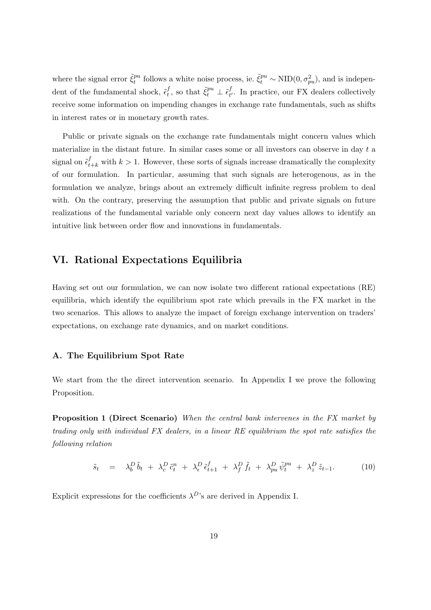where the signal error  $\tilde{\xi}_t^{pu}$  $t_t^{pu}$  follows a white noise process, ie.  $\tilde{\xi}_t^{pu} \sim \text{NID}(0, \sigma_{pu}^2)$ , and is independent of the fundamental shock,  $\tilde{\epsilon}^{f}_{t}$  $t^f_t$ , so that  $\tilde{\xi}^{pu}_t \perp \tilde{\epsilon}^f_{t^*}$  $_{t'}^J$ . In practice, our FX dealers collectively receive some information on impending changes in exchange rate fundamentals, such as shifts in interest rates or in monetary growth rates.

Public or private signals on the exchange rate fundamentals might concern values which materialize in the distant future. In similar cases some or all investors can observe in day t a signal on  $\tilde{\epsilon}_{t+k}^f$  with  $k > 1$ . However, these sorts of signals increase dramatically the complexity of our formulation. In particular, assuming that such signals are heterogenous, as in the formulation we analyze, brings about an extremely difficult infinite regress problem to deal with. On the contrary, preserving the assumption that public and private signals on future realizations of the fundamental variable only concern next day values allows to identify an intuitive link between order flow and innovations in fundamentals.

## VI. Rational Expectations Equilibria

Having set out our formulation, we can now isolate two different rational expectations (RE) equilibria, which identify the equilibrium spot rate which prevails in the FX market in the two scenarios. This allows to analyze the impact of foreign exchange intervention on traders' expectations, on exchange rate dynamics, and on market conditions.

#### A. The Equilibrium Spot Rate

We start from the the direct intervention scenario. In Appendix I we prove the following Proposition.

**Proposition 1 (Direct Scenario)** When the central bank intervenes in the FX market by trading only with individual FX dealers, in a linear RE equilibrium the spot rate satisfies the following relation

$$
\tilde{s}_t = \lambda_b^D \tilde{b}_t + \lambda_c^D \tilde{c}_t^n + \lambda_{\epsilon}^D \tilde{\epsilon}_{t+1}^f + \lambda_f^D \tilde{f}_t + \lambda_{pu}^D \tilde{\psi}_t^{pu} + \lambda_z^D \tilde{z}_{t-1}.
$$
 (10)

Explicit expressions for the coefficients  $\lambda^{D}$ 's are derived in Appendix I.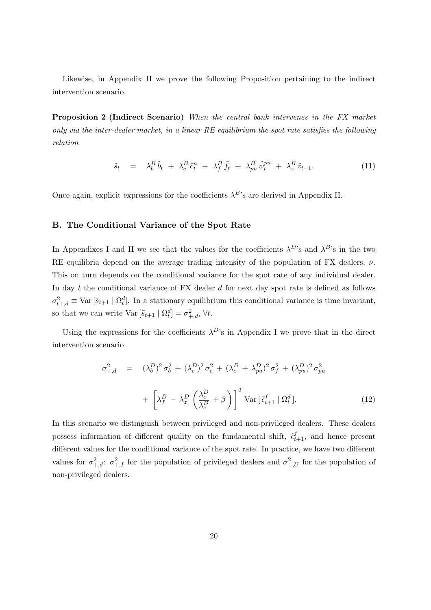Likewise, in Appendix II we prove the following Proposition pertaining to the indirect intervention scenario.

Proposition 2 (Indirect Scenario) When the central bank intervenes in the FX market only via the inter-dealer market, in a linear RE equilibrium the spot rate satisfies the following relation

$$
\tilde{s}_t = \lambda_b^B \tilde{b}_t + \lambda_c^B \tilde{c}_t^n + \lambda_f^B \tilde{f}_t + \lambda_{pu}^B \tilde{\psi}_t^{pu} + \lambda_z^B \tilde{z}_{t-1}.
$$
\n(11)

Once again, explicit expressions for the coefficients  $\lambda^B$ 's are derived in Appendix II.

#### B. The Conditional Variance of the Spot Rate

In Appendixes I and II we see that the values for the coefficients  $\lambda^{D}$ 's and  $\lambda^{B}$ 's in the two RE equilibria depend on the average trading intensity of the population of FX dealers,  $\nu$ . This on turn depends on the conditional variance for the spot rate of any individual dealer. In day t the conditional variance of  $FX$  dealer d for next day spot rate is defined as follows  $\sigma_{t+,d}^2 \equiv \text{Var}\left[\tilde{s}_{t+1} \mid \Omega_t^d\right]$ . In a stationary equilibrium this conditional variance is time invariant, so that we can write  $\text{Var}\left[\tilde{s}_{t+1} \mid \Omega_t^d\right] = \sigma_{+,d}^2$ ,  $\forall t$ .

Using the expressions for the coefficients  $\lambda^{D}$ 's in Appendix I we prove that in the direct intervention scenario

$$
\sigma_{+,d}^2 = (\lambda_b^D)^2 \sigma_b^2 + (\lambda_c^D)^2 \sigma_c^2 + (\lambda_{\epsilon}^D + \lambda_{pu}^D)^2 \sigma_f^2 + (\lambda_{pu}^D)^2 \sigma_{pu}^2
$$

$$
+ \left[ \lambda_f^D - \lambda_z^D \left( \frac{\lambda_{\epsilon}^D}{\lambda_c^D} + \beta \right) \right]^2 \text{Var}\left[\tilde{\epsilon}_{t+1}^f \mid \Omega_t^d\right]. \tag{12}
$$

In this scenario we distinguish between privileged and non-privileged dealers. These dealers possess information of different quality on the fundamental shift,  $\tilde{\epsilon}_{t+1}^f$ , and hence present different values for the conditional variance of the spot rate. In practice, we have two different values for  $\sigma_{+,d}^2$ :  $\sigma_{+,I}^2$  for the population of privileged dealers and  $\sigma_{+,U}^2$  for the population of non-privileged dealers.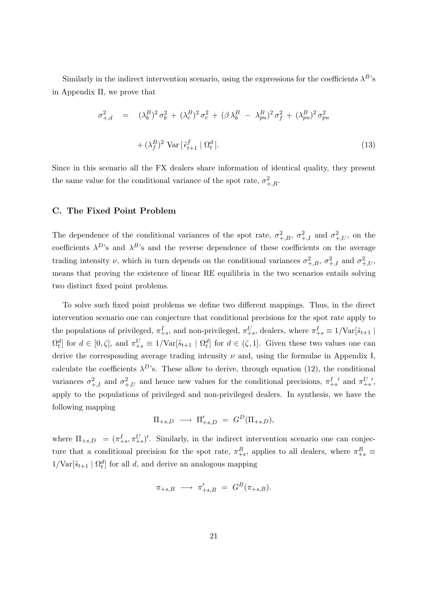Similarly in the indirect intervention scenario, using the expressions for the coefficients  $\lambda^{B}$ 's in Appendix II, we prove that

$$
\sigma_{+,d}^2 = (\lambda_b^B)^2 \sigma_b^2 + (\lambda_c^B)^2 \sigma_c^2 + (\beta \lambda_b^B - \lambda_{pu}^B)^2 \sigma_f^2 + (\lambda_{pu}^B)^2 \sigma_{pu}^2
$$
  
+ 
$$
(\lambda_f^B)^2 \text{Var}[\tilde{\epsilon}_{t+1}^f | \Omega_t^d].
$$
 (13)

Since in this scenario all the FX dealers share information of identical quality, they present the same value for the conditional variance of the spot rate,  $\sigma_{+,B}^2$ .

#### C. The Fixed Point Problem

The dependence of the conditional variances of the spot rate,  $\sigma_{+,B}^2$ ,  $\sigma_{+,I}^2$  and  $\sigma_{+,U}^2$ , on the coefficients  $\lambda^{D}$ 's and  $\lambda^{B}$ 's and the reverse dependence of these coefficients on the average trading intensity  $\nu$ , which in turn depends on the conditional variances  $\sigma_{+,B}^2$ ,  $\sigma_{+,I}^2$  and  $\sigma_{+,U}^2$ , means that proving the existence of linear RE equilibria in the two scenarios entails solving two distinct fixed point problems.

To solve such fixed point problems we define two different mappings. Thus, in the direct intervention scenario one can conjecture that conditional precisions for the spot rate apply to the populations of privileged,  $\pi_{+s}^I$ , and non-privileged,  $\pi_{+s}^U$ , dealers, where  $\pi_{+s}^I \equiv 1/\text{Var}[\tilde{s}_{t+1}]$  $\Omega_t^d$  for  $d \in [0, \zeta]$ , and  $\pi_{+s}^U \equiv 1/\text{Var}[\tilde{s}_{t+1} | \Omega_t^d]$  for  $d \in (\zeta, 1]$ . Given these two values one can derive the corresponding average trading intensity  $\nu$  and, using the formulae in Appendix I, calculate the coefficients  $\lambda^{D}$ 's. These allow to derive, through equation (12), the conditional variances  $\sigma_{+,I}^2$  and  $\sigma_{+,U}^2$  and hence new values for the conditional precisions,  $\pi_{+s}^I$  and  $\pi_{+s}^{U}$ , apply to the populations of privileged and non-privileged dealers. In synthesis, we have the following mapping

$$
\Pi_{+s,D} \ \longrightarrow \ \Pi'_{+s,D} \ = \ G^D(\Pi_{+s,D}),
$$

where  $\Pi_{+s,D} = (\pi_{+s}^I, \pi_{+s}^U)'$ . Similarly, in the indirect intervention scenario one can conjecture that a conditional precision for the spot rate,  $\pi^B_{+s}$ , applies to all dealers, where  $\pi^B_{+s}$  $1/\text{Var}[\tilde{s}_{t+1} | \Omega_t^d]$  for all d, and derive an analogous mapping

$$
\pi_{+s,B} \longrightarrow \pi'_{+s,B} = G^B(\pi_{+s,B}).
$$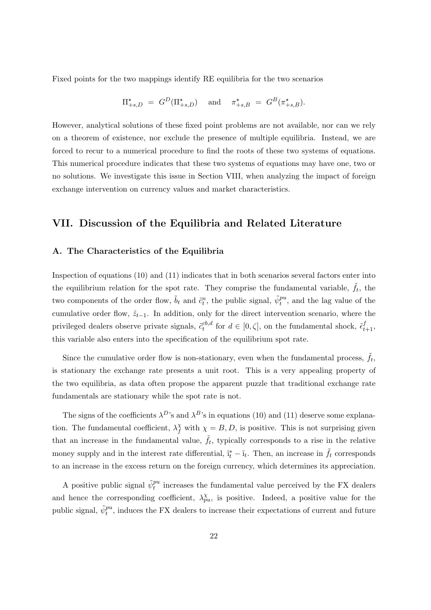Fixed points for the two mappings identify RE equilibria for the two scenarios

$$
\Pi_{+s,D}^{\star} = G^D(\Pi_{+s,D}^{\star}) \quad \text{and} \quad \pi_{+s,B}^{\star} = G^B(\pi_{+s,B}^{\star}).
$$

However, analytical solutions of these fixed point problems are not available, nor can we rely on a theorem of existence, nor exclude the presence of multiple equilibria. Instead, we are forced to recur to a numerical procedure to find the roots of these two systems of equations. This numerical procedure indicates that these two systems of equations may have one, two or no solutions. We investigate this issue in Section VIII, when analyzing the impact of foreign exchange intervention on currency values and market characteristics.

## VII. Discussion of the Equilibria and Related Literature

#### A. The Characteristics of the Equilibria

Inspection of equations (10) and (11) indicates that in both scenarios several factors enter into the equilibrium relation for the spot rate. They comprise the fundamental variable,  $\tilde{f}_t$ , the two components of the order flow,  $\tilde{b}_t$  and  $\tilde{c}_t^n$ , the public signal,  $\tilde{\psi}_t^{pu}$ , and the lag value of the cumulative order flow,  $\tilde{z}_{t-1}$ . In addition, only for the direct intervention scenario, where the privileged dealers observe private signals,  $\tilde{c}_{t}^{cb,d}$  $t^{cb,d}$  for  $d \in [0,\zeta]$ , on the fundamental shock,  $\tilde{\epsilon}^f_{t+1}$ , this variable also enters into the specification of the equilibrium spot rate.

Since the cumulative order flow is non-stationary, even when the fundamental process,  $\tilde{f}_t$ , is stationary the exchange rate presents a unit root. This is a very appealing property of the two equilibria, as data often propose the apparent puzzle that traditional exchange rate fundamentals are stationary while the spot rate is not.

The signs of the coefficients  $\lambda^{D}$ 's and  $\lambda^{B}$ 's in equations (10) and (11) deserve some explanation. The fundamental coefficient,  $\lambda_f^{\chi}$  with  $\chi = B, D$ , is positive. This is not surprising given that an increase in the fundamental value,  $\tilde{f}_t$ , typically corresponds to a rise in the relative money supply and in the interest rate differential,  $\tilde{\mathbf{I}}_t^* - \tilde{\mathbf{I}}_t$ . Then, an increase in  $\tilde{f}_t$  corresponds to an increase in the excess return on the foreign currency, which determines its appreciation.

A positive public signal  $\tilde{\psi}_t^{pu}$  increases the fundamental value perceived by the FX dealers and hence the corresponding coefficient,  $\lambda_{pu}^{\chi}$ , is positive. Indeed, a positive value for the public signal,  $\tilde{\psi}_t^{pu}$ , induces the FX dealers to increase their expectations of current and future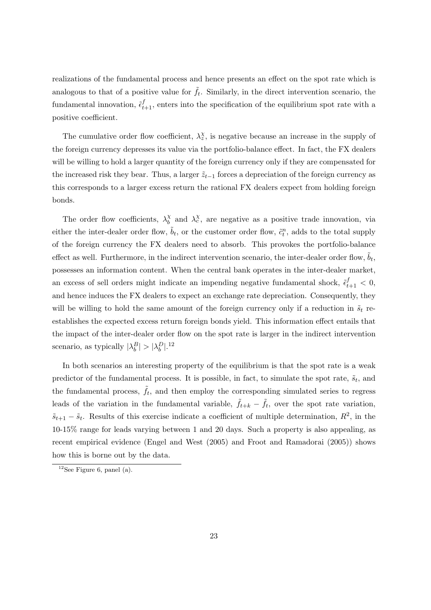realizations of the fundamental process and hence presents an effect on the spot rate which is analogous to that of a positive value for  $\tilde{f}_t$ . Similarly, in the direct intervention scenario, the fundamental innovation,  $\tilde{\epsilon}_{t+1}^f$ , enters into the specification of the equilibrium spot rate with a positive coefficient.

The cumulative order flow coefficient,  $\lambda_z^{\chi}$ , is negative because an increase in the supply of the foreign currency depresses its value via the portfolio-balance effect. In fact, the FX dealers will be willing to hold a larger quantity of the foreign currency only if they are compensated for the increased risk they bear. Thus, a larger  $\tilde{z}_{t-1}$  forces a depreciation of the foreign currency as this corresponds to a larger excess return the rational FX dealers expect from holding foreign bonds.

The order flow coefficients,  $\lambda_h^{\chi}$  $\chi_b^{\chi}$  and  $\lambda_c^{\chi}$ , are negative as a positive trade innovation, via either the inter-dealer order flow,  $\tilde{b}_t$ , or the customer order flow,  $\tilde{c}_t^n$ , adds to the total supply of the foreign currency the FX dealers need to absorb. This provokes the portfolio-balance effect as well. Furthermore, in the indirect intervention scenario, the inter-dealer order flow,  $\tilde{b}_t$ , possesses an information content. When the central bank operates in the inter-dealer market, an excess of sell orders might indicate an impending negative fundamental shock,  $\tilde{\epsilon}_{t+1}^f < 0$ , and hence induces the FX dealers to expect an exchange rate depreciation. Consequently, they will be willing to hold the same amount of the foreign currency only if a reduction in  $\tilde{s}_t$  reestablishes the expected excess return foreign bonds yield. This information effect entails that the impact of the inter-dealer order flow on the spot rate is larger in the indirect intervention scenario, as typically  $|\lambda_b^B| > |\lambda_b^D|$ .<sup>12</sup>

In both scenarios an interesting property of the equilibrium is that the spot rate is a weak predictor of the fundamental process. It is possible, in fact, to simulate the spot rate,  $\tilde{s}_t$ , and the fundamental process,  $\tilde{f}_t$ , and then employ the corresponding simulated series to regress leads of the variation in the fundamental variable,  $\tilde{f}_{t+k} - \tilde{f}_t$ , over the spot rate variation,  $\tilde{s}_{t+1} - \tilde{s}_t$ . Results of this exercise indicate a coefficient of multiple determination,  $R^2$ , in the 10-15% range for leads varying between 1 and 20 days. Such a property is also appealing, as recent empirical evidence (Engel and West (2005) and Froot and Ramadorai (2005)) shows how this is borne out by the data.

<sup>&</sup>lt;sup>12</sup>See Figure 6, panel (a).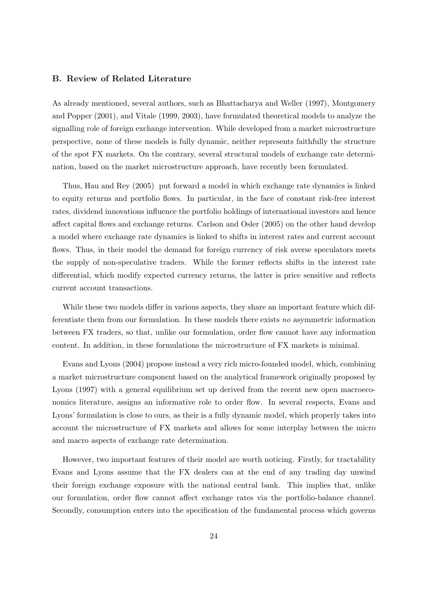#### B. Review of Related Literature

As already mentioned, several authors, such as Bhattacharya and Weller (1997), Montgomery and Popper (2001), and Vitale (1999, 2003), have formulated theoretical models to analyze the signalling role of foreign exchange intervention. While developed from a market microstructure perspective, none of these models is fully dynamic, neither represents faithfully the structure of the spot FX markets. On the contrary, several structural models of exchange rate determination, based on the market microstructure approach, have recently been formulated.

Thus, Hau and Rey (2005) put forward a model in which exchange rate dynamics is linked to equity returns and portfolio flows. In particular, in the face of constant risk-free interest rates, dividend innovations influence the portfolio holdings of international investors and hence affect capital flows and exchange returns. Carlson and Osler (2005) on the other hand develop a model where exchange rate dynamics is linked to shifts in interest rates and current account flows. Thus, in their model the demand for foreign currency of risk averse speculators meets the supply of non-speculative traders. While the former reflects shifts in the interest rate differential, which modify expected currency returns, the latter is price sensitive and reflects current account transactions.

While these two models differ in various aspects, they share an important feature which differentiate them from our formulation. In these models there exists no asymmetric information between FX traders, so that, unlike our formulation, order flow cannot have any information content. In addition, in these formulations the microstructure of FX markets is minimal.

Evans and Lyons (2004) propose instead a very rich micro-founded model, which, combining a market microstructure component based on the analytical framework originally proposed by Lyons (1997) with a general equilibrium set up derived from the recent new open macroeconomics literature, assigns an informative role to order flow. In several respects, Evans and Lyons' formulation is close to ours, as their is a fully dynamic model, which properly takes into account the microstructure of FX markets and allows for some interplay between the micro and macro aspects of exchange rate determination.

However, two important features of their model are worth noticing. Firstly, for tractability Evans and Lyons assume that the FX dealers can at the end of any trading day unwind their foreign exchange exposure with the national central bank. This implies that, unlike our formulation, order flow cannot affect exchange rates via the portfolio-balance channel. Secondly, consumption enters into the specification of the fundamental process which governs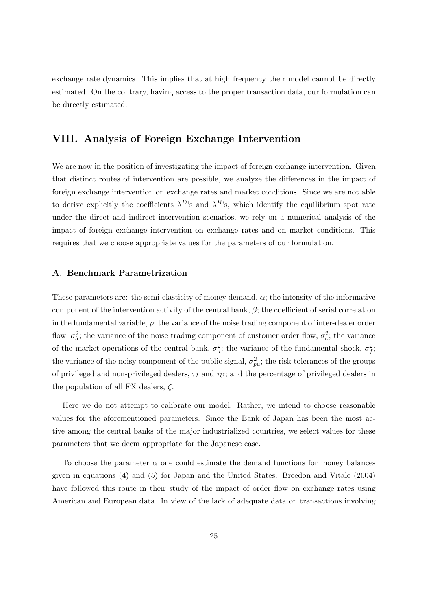exchange rate dynamics. This implies that at high frequency their model cannot be directly estimated. On the contrary, having access to the proper transaction data, our formulation can be directly estimated.

# VIII. Analysis of Foreign Exchange Intervention

We are now in the position of investigating the impact of foreign exchange intervention. Given that distinct routes of intervention are possible, we analyze the differences in the impact of foreign exchange intervention on exchange rates and market conditions. Since we are not able to derive explicitly the coefficients  $\lambda^{D}$ 's and  $\lambda^{B}$ 's, which identify the equilibrium spot rate under the direct and indirect intervention scenarios, we rely on a numerical analysis of the impact of foreign exchange intervention on exchange rates and on market conditions. This requires that we choose appropriate values for the parameters of our formulation.

#### A. Benchmark Parametrization

These parameters are: the semi-elasticity of money demand, α; the intensity of the informative component of the intervention activity of the central bank,  $\beta$ ; the coefficient of serial correlation in the fundamental variable,  $\rho$ ; the variance of the noise trading component of inter-dealer order flow,  $\sigma_b^2$ ; the variance of the noise trading component of customer order flow,  $\sigma_c^2$ ; the variance of the market operations of the central bank,  $\sigma_d^2$ ; the variance of the fundamental shock,  $\sigma_f^2$ ; the variance of the noisy component of the public signal,  $\sigma_{pu}^2$ ; the risk-tolerances of the groups of privileged and non-privileged dealers,  $\tau_I$  and  $\tau_U$ ; and the percentage of privileged dealers in the population of all FX dealers,  $\zeta$ .

Here we do not attempt to calibrate our model. Rather, we intend to choose reasonable values for the aforementioned parameters. Since the Bank of Japan has been the most active among the central banks of the major industrialized countries, we select values for these parameters that we deem appropriate for the Japanese case.

To choose the parameter  $\alpha$  one could estimate the demand functions for money balances given in equations (4) and (5) for Japan and the United States. Breedon and Vitale (2004) have followed this route in their study of the impact of order flow on exchange rates using American and European data. In view of the lack of adequate data on transactions involving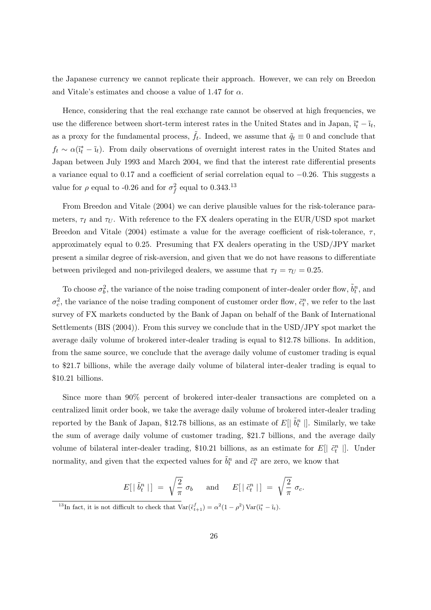the Japanese currency we cannot replicate their approach. However, we can rely on Breedon and Vitale's estimates and choose a value of 1.47 for  $\alpha$ .

Hence, considering that the real exchange rate cannot be observed at high frequencies, we use the difference between short-term interest rates in the United States and in Japan,  $\tilde{i}_t^* - \tilde{i}_t$ , as a proxy for the fundamental process,  $\tilde{f}_t$ . Indeed, we assume that  $\tilde{q}_t \equiv 0$  and conclude that  $f_t \sim \alpha(\tilde{i}_t^* - \tilde{i}_t)$ . From daily observations of overnight interest rates in the United States and Japan between July 1993 and March 2004, we find that the interest rate differential presents a variance equal to 0.17 and a coefficient of serial correlation equal to −0.26. This suggests a value for  $\rho$  equal to -0.26 and for  $\sigma_f^2$  equal to 0.343.<sup>13</sup>

From Breedon and Vitale (2004) we can derive plausible values for the risk-tolerance parameters,  $\tau_I$  and  $\tau_U$ . With reference to the FX dealers operating in the EUR/USD spot market Breedon and Vitale (2004) estimate a value for the average coefficient of risk-tolerance,  $\tau$ , approximately equal to 0.25. Presuming that FX dealers operating in the USD/JPY market present a similar degree of risk-aversion, and given that we do not have reasons to differentiate between privileged and non-privileged dealers, we assume that  $\tau_I = \tau_U = 0.25$ .

To choose  $\sigma_b^2$ , the variance of the noise trading component of inter-dealer order flow,  $\tilde{b}_t^n$ , and  $\sigma_c^2$ , the variance of the noise trading component of customer order flow,  $\tilde{c}_t^n$ , we refer to the last survey of FX markets conducted by the Bank of Japan on behalf of the Bank of International Settlements (BIS (2004)). From this survey we conclude that in the USD/JPY spot market the average daily volume of brokered inter-dealer trading is equal to \$12.78 billions. In addition, from the same source, we conclude that the average daily volume of customer trading is equal to \$21.7 billions, while the average daily volume of bilateral inter-dealer trading is equal to \$10.21 billions.

Since more than 90% percent of brokered inter-dealer transactions are completed on a centralized limit order book, we take the average daily volume of brokered inter-dealer trading reported by the Bank of Japan, \$12.78 billions, as an estimate of  $E[$   $\tilde{b}_t^n$   $\cdot$   $]$ . Similarly, we take the sum of average daily volume of customer trading, \$21.7 billions, and the average daily volume of bilateral inter-dealer trading, \$10.21 billions, as an estimate for  $E[| \tilde{c}_t^n |]$ . Under normality, and given that the expected values for  $\tilde{b}_t^n$  and  $\tilde{c}_t^n$  are zero, we know that

$$
E[\mid \tilde{b}_t^n \mid] \ = \ \sqrt{\frac{2}{\pi}} \ \sigma_b \qquad \text{and} \qquad E[\mid \tilde{c}_t^n \mid] \ = \ \sqrt{\frac{2}{\pi}} \ \sigma_c.
$$

<sup>&</sup>lt;sup>13</sup>In fact, it is not difficult to check that  $\text{Var}(\tilde{\epsilon}_{t+1}^f) = \alpha^2 (1 - \rho^2) \text{Var}(\tilde{\mathbf{i}}_t^* - \tilde{\mathbf{i}}_t).$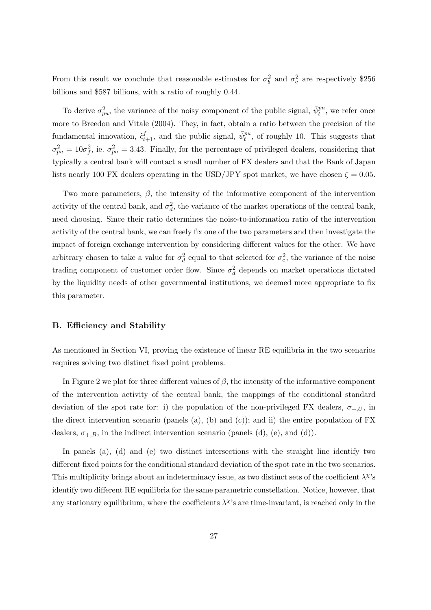From this result we conclude that reasonable estimates for  $\sigma_b^2$  and  $\sigma_c^2$  are respectively \$256 billions and \$587 billions, with a ratio of roughly 0.44.

To derive  $\sigma_{pu}^2$ , the variance of the noisy component of the public signal,  $\tilde{\psi}_t^{pu}$ , we refer once more to Breedon and Vitale (2004). They, in fact, obtain a ratio between the precision of the fundamental innovation,  $\tilde{\epsilon}_{t+1}^f$ , and the public signal,  $\tilde{\psi}_t^{pu}$ , of roughly 10. This suggests that  $\sigma_{pu}^2 = 10\sigma_f^2$ , ie.  $\sigma_{pu}^2 = 3.43$ . Finally, for the percentage of privileged dealers, considering that typically a central bank will contact a small number of FX dealers and that the Bank of Japan lists nearly 100 FX dealers operating in the USD/JPY spot market, we have chosen  $\zeta = 0.05$ .

Two more parameters,  $\beta$ , the intensity of the informative component of the intervention activity of the central bank, and  $\sigma_d^2$ , the variance of the market operations of the central bank, need choosing. Since their ratio determines the noise-to-information ratio of the intervention activity of the central bank, we can freely fix one of the two parameters and then investigate the impact of foreign exchange intervention by considering different values for the other. We have arbitrary chosen to take a value for  $\sigma_d^2$  equal to that selected for  $\sigma_c^2$ , the variance of the noise trading component of customer order flow. Since  $\sigma_d^2$  depends on market operations dictated by the liquidity needs of other governmental institutions, we deemed more appropriate to fix this parameter.

#### B. Efficiency and Stability

As mentioned in Section VI, proving the existence of linear RE equilibria in the two scenarios requires solving two distinct fixed point problems.

In Figure 2 we plot for three different values of  $\beta$ , the intensity of the informative component of the intervention activity of the central bank, the mappings of the conditional standard deviation of the spot rate for: i) the population of the non-privileged FX dealers,  $\sigma_{+,U}$ , in the direct intervention scenario (panels (a), (b) and (c)); and ii) the entire population of  $FX$ dealers,  $\sigma_{+,B}$ , in the indirect intervention scenario (panels (d), (e), and (d)).

In panels (a), (d) and (e) two distinct intersections with the straight line identify two different fixed points for the conditional standard deviation of the spot rate in the two scenarios. This multiplicity brings about an indeterminacy issue, as two distinct sets of the coefficient  $\lambda^{\chi}$ 's identify two different RE equilibria for the same parametric constellation. Notice, however, that any stationary equilibrium, where the coefficients  $\lambda^{\chi}$ 's are time-invariant, is reached only in the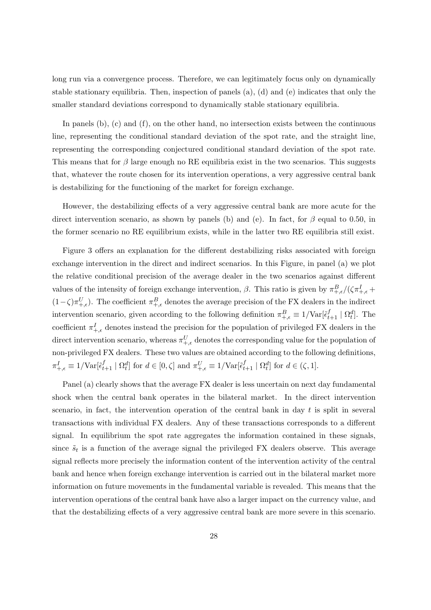long run via a convergence process. Therefore, we can legitimately focus only on dynamically stable stationary equilibria. Then, inspection of panels  $(a)$ ,  $(d)$  and  $(e)$  indicates that only the smaller standard deviations correspond to dynamically stable stationary equilibria.

In panels (b), (c) and (f), on the other hand, no intersection exists between the continuous line, representing the conditional standard deviation of the spot rate, and the straight line, representing the corresponding conjectured conditional standard deviation of the spot rate. This means that for  $\beta$  large enough no RE equilibria exist in the two scenarios. This suggests that, whatever the route chosen for its intervention operations, a very aggressive central bank is destabilizing for the functioning of the market for foreign exchange.

However, the destabilizing effects of a very aggressive central bank are more acute for the direct intervention scenario, as shown by panels (b) and (e). In fact, for  $\beta$  equal to 0.50, in the former scenario no RE equilibrium exists, while in the latter two RE equilibria still exist.

Figure 3 offers an explanation for the different destabilizing risks associated with foreign exchange intervention in the direct and indirect scenarios. In this Figure, in panel (a) we plot the relative conditional precision of the average dealer in the two scenarios against different values of the intensity of foreign exchange intervention,  $\beta$ . This ratio is given by  $\pi^B_{+,\epsilon}/(\zeta\pi^I_{+,\epsilon} +$  $(1-\zeta)\pi^U_{+\epsilon}$ ). The coefficient  $\pi^B_{+\epsilon}$  denotes the average precision of the FX dealers in the indirect intervention scenario, given according to the following definition  $\pi_{+,\epsilon}^B \equiv 1/\text{Var}[\tilde{\epsilon}_{t+1}^f \mid \Omega_t^d]$ . The coefficient  $\pi^I_{+,\epsilon}$  denotes instead the precision for the population of privileged FX dealers in the direct intervention scenario, whereas  $\pi^{U}_{+,\epsilon}$  denotes the corresponding value for the population of non-privileged FX dealers. These two values are obtained according to the following definitions,  $\pi^I_{+,\epsilon} \equiv 1/\text{Var}[\tilde{\epsilon}^f_{t+1} \mid \Omega^d_t]$  for  $d \in [0,\zeta]$  and  $\pi^U_{+,\epsilon} \equiv 1/\text{Var}[\tilde{\epsilon}^f_{t+1} \mid \Omega^d_t]$  for  $d \in (\zeta,1]$ .

Panel (a) clearly shows that the average FX dealer is less uncertain on next day fundamental shock when the central bank operates in the bilateral market. In the direct intervention scenario, in fact, the intervention operation of the central bank in day  $t$  is split in several transactions with individual FX dealers. Any of these transactions corresponds to a different signal. In equilibrium the spot rate aggregates the information contained in these signals, since  $\tilde{s}_t$  is a function of the average signal the privileged FX dealers observe. This average signal reflects more precisely the information content of the intervention activity of the central bank and hence when foreign exchange intervention is carried out in the bilateral market more information on future movements in the fundamental variable is revealed. This means that the intervention operations of the central bank have also a larger impact on the currency value, and that the destabilizing effects of a very aggressive central bank are more severe in this scenario.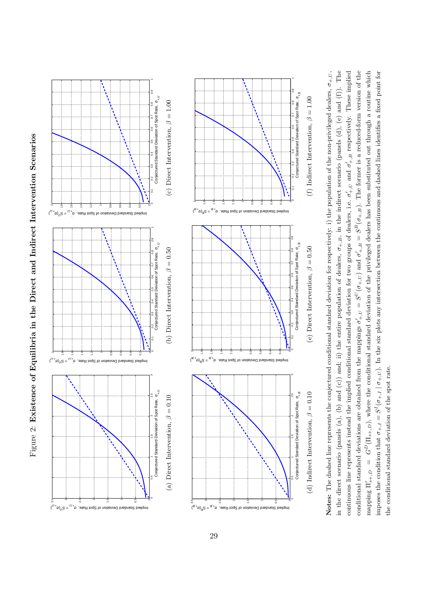



in the direct scenario (panels (a), (b) and (c)) and; ii) the entire population of dealers,  $\sigma_{+,B}$ , in the indirect scenario (panels (d), (e) and (f)). The continuous line represents instead the implied conditional standard deviation for two groups of dealers, i.e.  $\sigma'_{+,U}$  and  $\sigma'_{+,B}$  respectively. These implied conditional standard deviations are obtained from the mappings  $\sigma'_{+,U} = S^U(\sigma_{+,U})$  and  $\sigma'_{+,B} = S^B(\sigma_{+,B})$ . The former is a reduced-form version of the mapping  $\Pi'_{s+,D} = G^D(\Pi_{s+,D})$ , where the conditional standard deviation of the privileged dealers has been substituted out through a routine which Notes: The dashed line represents the conjectured conditional standard deviation for respectively: i) the population of the non-privileged dealers,  $\sigma_{+,U}$ , mposes the condition that  $\sigma_{+,I} = S^I(\sigma_{+,I} | \sigma_{+,U})$ . In the six plots any intersection between the continuous and dashed lines identifies a fixed point for Notes: The dashed line represents the conjectured conditional standard deviation for respectively: i) the population of the non-privileged dealers,  $\sigma_{+,U}$ , in the direct scenario (panels (a), (b) and (c)) and; ii) the entire population of dealers,  $\sigma_{+,B}$ , in the indirect scenario (panels (d), (e) and (f)). The continuous line represents instead the implied conditional standard deviation for two groups of dealers, i.e.  $\sigma'_{+,U}$  and  $\sigma'_{+,B}$  respectively. These implied conditional standard deviations are obtained from the mappings  $\sigma'_{+,U} = S^U(\sigma_{+,U})$  and  $\sigma'_{+,B} = S^B(\sigma_{+,B})$ . The former is a reduced-form version of the mapping  $\Pi'_{s+,D} = G^D(\Pi_{s+,D})$ , where the conditional standard deviation of the privileged dealers has been substituted out through a routine which imposes the condition that  $\sigma_{+,I} = S^I(\sigma_{+,I} | \sigma_{+,U})$ . In the six plots any intersection between the continuous and dashed lines identifies a fixed point for the conditional standard deviation of the spot rate. the conditional standard deviation of the spot rate.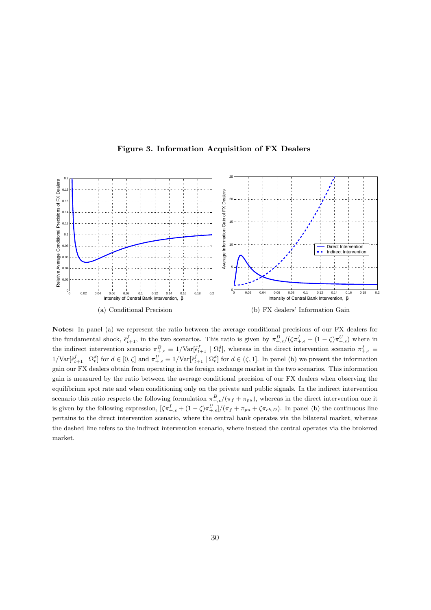

Figure 3. Information Acquisition of FX Dealers

Notes: In panel (a) we represent the ratio between the average conditional precisions of our FX dealers for the fundamental shock,  $\tilde{\epsilon}_{t+1}^f$ , in the two scenarios. This ratio is given by  $\pi_{+,\epsilon}^B/(\zeta \pi_{+,\epsilon}^I + (1-\zeta)\pi_{+,\epsilon}^U)$  where in the indirect intervention scenario  $\pi^B_{+, \epsilon} \equiv 1/\text{Var}[\tilde{\epsilon}^f_{t+1} \mid \Omega^d_t]$ , whereas in the direct intervention scenario  $\pi^I_{+, \epsilon} \equiv$  $1/\text{Var}[\tilde{\epsilon}_{t+1}^f \mid \Omega_t^d]$  for  $d \in [0,\zeta]$  and  $\pi_{+,\epsilon}^U \equiv 1/\text{Var}[\tilde{\epsilon}_{t+1}^f \mid \Omega_t^d]$  for  $d \in (\zeta,1]$ . In panel (b) we present the information gain our FX dealers obtain from operating in the foreign exchange market in the two scenarios. This information gain is measured by the ratio between the average conditional precision of our FX dealers when observing the equilibrium spot rate and when conditioning only on the private and public signals. In the indirect intervention scenario this ratio respects the following formulation  $\pi^B_{+, \epsilon}/(\pi_f + \pi_{pu})$ , whereas in the direct intervention one it is given by the following expression,  $[\zeta \pi^I_{+, \epsilon} + (1 - \zeta) \pi^U_{+, \epsilon}]/(\pi_f + \pi_{pu} + \zeta \pi_{cb, D})$ . In panel (b) the continuous line pertains to the direct intervention scenario, where the central bank operates via the bilateral market, whereas the dashed line refers to the indirect intervention scenario, where instead the central operates via the brokered market.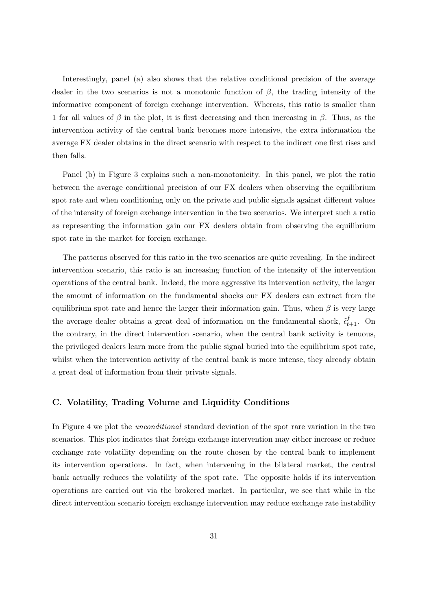Interestingly, panel (a) also shows that the relative conditional precision of the average dealer in the two scenarios is not a monotonic function of  $\beta$ , the trading intensity of the informative component of foreign exchange intervention. Whereas, this ratio is smaller than 1 for all values of  $\beta$  in the plot, it is first decreasing and then increasing in  $\beta$ . Thus, as the intervention activity of the central bank becomes more intensive, the extra information the average FX dealer obtains in the direct scenario with respect to the indirect one first rises and then falls.

Panel (b) in Figure 3 explains such a non-monotonicity. In this panel, we plot the ratio between the average conditional precision of our FX dealers when observing the equilibrium spot rate and when conditioning only on the private and public signals against different values of the intensity of foreign exchange intervention in the two scenarios. We interpret such a ratio as representing the information gain our FX dealers obtain from observing the equilibrium spot rate in the market for foreign exchange.

The patterns observed for this ratio in the two scenarios are quite revealing. In the indirect intervention scenario, this ratio is an increasing function of the intensity of the intervention operations of the central bank. Indeed, the more aggressive its intervention activity, the larger the amount of information on the fundamental shocks our FX dealers can extract from the equilibrium spot rate and hence the larger their information gain. Thus, when  $\beta$  is very large the average dealer obtains a great deal of information on the fundamental shock,  $\tilde{\epsilon}_{t+1}^f$ . On the contrary, in the direct intervention scenario, when the central bank activity is tenuous, the privileged dealers learn more from the public signal buried into the equilibrium spot rate, whilst when the intervention activity of the central bank is more intense, they already obtain a great deal of information from their private signals.

#### C. Volatility, Trading Volume and Liquidity Conditions

In Figure 4 we plot the *unconditional* standard deviation of the spot rare variation in the two scenarios. This plot indicates that foreign exchange intervention may either increase or reduce exchange rate volatility depending on the route chosen by the central bank to implement its intervention operations. In fact, when intervening in the bilateral market, the central bank actually reduces the volatility of the spot rate. The opposite holds if its intervention operations are carried out via the brokered market. In particular, we see that while in the direct intervention scenario foreign exchange intervention may reduce exchange rate instability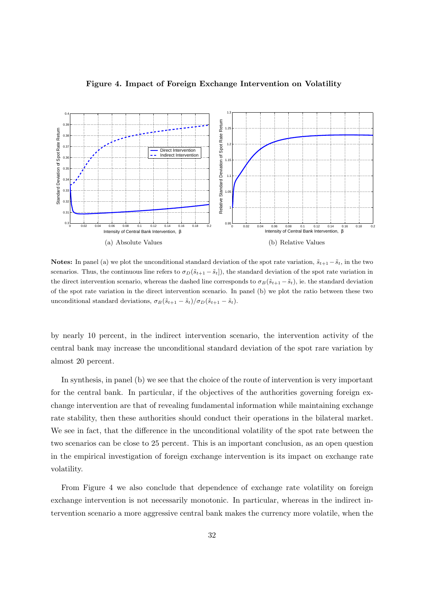

Figure 4. Impact of Foreign Exchange Intervention on Volatility

Notes: In panel (a) we plot the unconditional standard deviation of the spot rate variation,  $\tilde{s}_{t+1}-\tilde{s}_t$ , in the two scenarios. Thus, the continuous line refers to  $\sigma_D(\tilde{s}_{t+1} - \tilde{s}_t]$ , the standard deviation of the spot rate variation in the direct intervention scenario, whereas the dashed line corresponds to  $\sigma_B(\tilde{s}_{t+1} - \tilde{s}_t)$ , ie. the standard deviation of the spot rate variation in the direct intervention scenario. In panel (b) we plot the ratio between these two unconditional standard deviations,  $\sigma_B(\tilde{s}_{t+1} - \tilde{s}_t)/\sigma_D(\tilde{s}_{t+1} - \tilde{s}_t)$ .

by nearly 10 percent, in the indirect intervention scenario, the intervention activity of the central bank may increase the unconditional standard deviation of the spot rare variation by almost 20 percent.

In synthesis, in panel (b) we see that the choice of the route of intervention is very important for the central bank. In particular, if the objectives of the authorities governing foreign exchange intervention are that of revealing fundamental information while maintaining exchange rate stability, then these authorities should conduct their operations in the bilateral market. We see in fact, that the difference in the unconditional volatility of the spot rate between the two scenarios can be close to 25 percent. This is an important conclusion, as an open question in the empirical investigation of foreign exchange intervention is its impact on exchange rate volatility.

From Figure 4 we also conclude that dependence of exchange rate volatility on foreign exchange intervention is not necessarily monotonic. In particular, whereas in the indirect intervention scenario a more aggressive central bank makes the currency more volatile, when the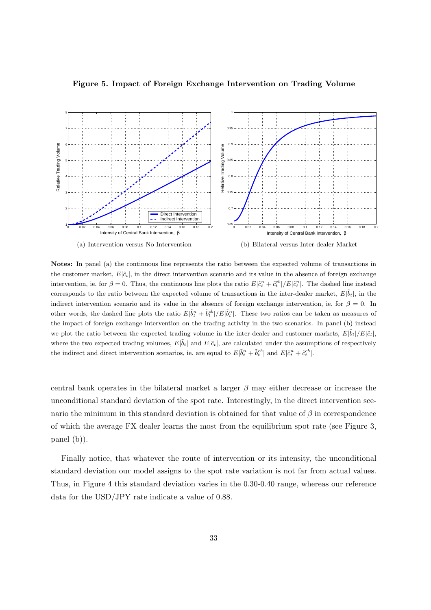

Figure 5. Impact of Foreign Exchange Intervention on Trading Volume

Notes: In panel (a) the continuous line represents the ratio between the expected volume of transactions in the customer market,  $E[\tilde{c}_t]$ , in the direct intervention scenario and its value in the absence of foreign exchange intervention, ie. for  $\beta = 0$ . Thus, the continuous line plots the ratio  $E|\tilde{c}_t^n + \tilde{c}_t^{cb}|/E|\tilde{c}_t^n|$ . The dashed line instead corresponds to the ratio between the expected volume of transactions in the inter-dealer market,  $E|\tilde{b}_t|$ , in the indirect intervention scenario and its value in the absence of foreign exchange intervention, ie. for  $\beta = 0$ . In other words, the dashed line plots the ratio  $E|\tilde{b}_t^n + \tilde{b}_t^{cb}|/E|\tilde{b}_t^n|$ . These two ratios can be taken as measures of the impact of foreign exchange intervention on the trading activity in the two scenarios. In panel (b) instead we plot the ratio between the expected trading volume in the inter-dealer and customer markets,  $E|\tilde{b}_t|/E|\tilde{c}_t|$ , where the two expected trading volumes,  $E|\tilde{b}_t|$  and  $E|\tilde{c}_t|$ , are calculated under the assumptions of respectively the indirect and direct intervention scenarios, ie. are equal to  $E|\tilde{b}_t^n + \tilde{b}_t^{cb}|$  and  $E|\tilde{c}_t^n + \tilde{c}_t^{cb}|$ .

central bank operates in the bilateral market a larger  $\beta$  may either decrease or increase the unconditional standard deviation of the spot rate. Interestingly, in the direct intervention scenario the minimum in this standard deviation is obtained for that value of  $\beta$  in correspondence of which the average FX dealer learns the most from the equilibrium spot rate (see Figure 3, panel (b)).

Finally notice, that whatever the route of intervention or its intensity, the unconditional standard deviation our model assigns to the spot rate variation is not far from actual values. Thus, in Figure 4 this standard deviation varies in the 0.30-0.40 range, whereas our reference data for the USD/JPY rate indicate a value of 0.88.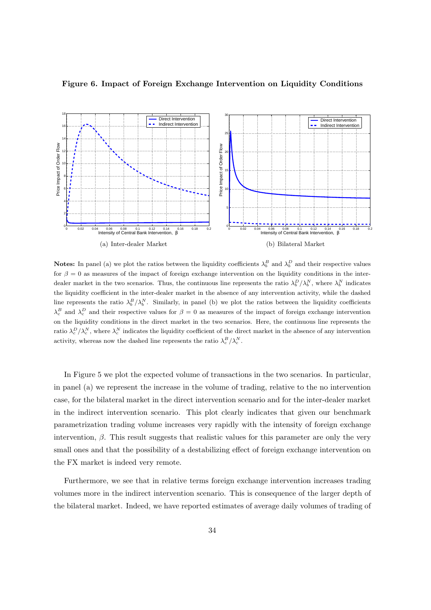

Figure 6. Impact of Foreign Exchange Intervention on Liquidity Conditions

Notes: In panel (a) we plot the ratios between the liquidity coefficients  $\lambda_b^B$  and  $\lambda_b^D$  and their respective values for  $\beta = 0$  as measures of the impact of foreign exchange intervention on the liquidity conditions in the interdealer market in the two scenarios. Thus, the continuous line represents the ratio  $\lambda_b^D/\lambda_b^N$ , where  $\lambda_b^N$  indicates the liquidity coefficient in the inter-dealer market in the absence of any intervention activity, while the dashed line represents the ratio  $\lambda_b^B/\lambda_b^N$ . Similarly, in panel (b) we plot the ratios between the liquidity coefficients  $\lambda_c^B$  and  $\lambda_c^D$  and their respective values for  $\beta = 0$  as measures of the impact of foreign exchange intervention on the liquidity conditions in the direct market in the two scenarios. Here, the continuous line represents the ratio  $\lambda_c^D/\lambda_c^N$ , where  $\lambda_c^N$  indicates the liquidity coefficient of the direct market in the absence of any intervention activity, whereas now the dashed line represents the ratio  $\lambda_c^B/\lambda_c^N$ .

In Figure 5 we plot the expected volume of transactions in the two scenarios. In particular, in panel (a) we represent the increase in the volume of trading, relative to the no intervention case, for the bilateral market in the direct intervention scenario and for the inter-dealer market in the indirect intervention scenario. This plot clearly indicates that given our benchmark parametrization trading volume increases very rapidly with the intensity of foreign exchange intervention,  $\beta$ . This result suggests that realistic values for this parameter are only the very small ones and that the possibility of a destabilizing effect of foreign exchange intervention on the FX market is indeed very remote.

Furthermore, we see that in relative terms foreign exchange intervention increases trading volumes more in the indirect intervention scenario. This is consequence of the larger depth of the bilateral market. Indeed, we have reported estimates of average daily volumes of trading of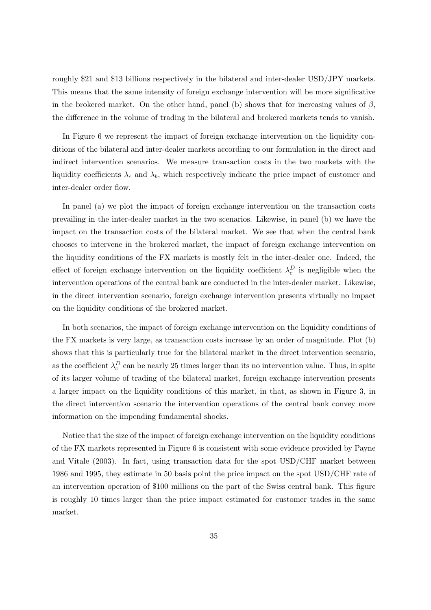roughly \$21 and \$13 billions respectively in the bilateral and inter-dealer USD/JPY markets. This means that the same intensity of foreign exchange intervention will be more significative in the brokered market. On the other hand, panel (b) shows that for increasing values of  $\beta$ , the difference in the volume of trading in the bilateral and brokered markets tends to vanish.

In Figure 6 we represent the impact of foreign exchange intervention on the liquidity conditions of the bilateral and inter-dealer markets according to our formulation in the direct and indirect intervention scenarios. We measure transaction costs in the two markets with the liquidity coefficients  $\lambda_c$  and  $\lambda_b$ , which respectively indicate the price impact of customer and inter-dealer order flow.

In panel (a) we plot the impact of foreign exchange intervention on the transaction costs prevailing in the inter-dealer market in the two scenarios. Likewise, in panel (b) we have the impact on the transaction costs of the bilateral market. We see that when the central bank chooses to intervene in the brokered market, the impact of foreign exchange intervention on the liquidity conditions of the FX markets is mostly felt in the inter-dealer one. Indeed, the effect of foreign exchange intervention on the liquidity coefficient  $\lambda_c^D$  is negligible when the intervention operations of the central bank are conducted in the inter-dealer market. Likewise, in the direct intervention scenario, foreign exchange intervention presents virtually no impact on the liquidity conditions of the brokered market.

In both scenarios, the impact of foreign exchange intervention on the liquidity conditions of the FX markets is very large, as transaction costs increase by an order of magnitude. Plot (b) shows that this is particularly true for the bilateral market in the direct intervention scenario, as the coefficient  $\lambda_c^D$  can be nearly 25 times larger than its no intervention value. Thus, in spite of its larger volume of trading of the bilateral market, foreign exchange intervention presents a larger impact on the liquidity conditions of this market, in that, as shown in Figure 3, in the direct intervention scenario the intervention operations of the central bank convey more information on the impending fundamental shocks.

Notice that the size of the impact of foreign exchange intervention on the liquidity conditions of the FX markets represented in Figure 6 is consistent with some evidence provided by Payne and Vitale (2003). In fact, using transaction data for the spot USD/CHF market between 1986 and 1995, they estimate in 50 basis point the price impact on the spot USD/CHF rate of an intervention operation of \$100 millions on the part of the Swiss central bank. This figure is roughly 10 times larger than the price impact estimated for customer trades in the same market.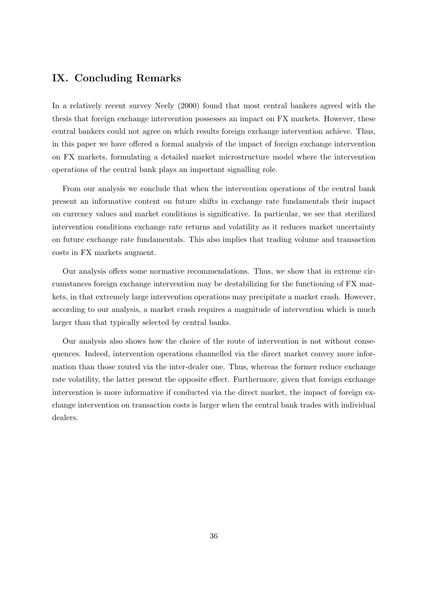# IX. Concluding Remarks

In a relatively recent survey Neely (2000) found that most central bankers agreed with the thesis that foreign exchange intervention possesses an impact on FX markets. However, these central bankers could not agree on which results foreign exchange intervention achieve. Thus, in this paper we have offered a formal analysis of the impact of foreign exchange intervention on FX markets, formulating a detailed market microstructure model where the intervention operations of the central bank plays an important signalling role.

From our analysis we conclude that when the intervention operations of the central bank present an informative content on future shifts in exchange rate fundamentals their impact on currency values and market conditions is significative. In particular, we see that sterilized intervention conditions exchange rate returns and volatility as it reduces market uncertainty on future exchange rate fundamentals. This also implies that trading volume and transaction costs in FX markets augment.

Our analysis offers some normative recommendations. Thus, we show that in extreme circumstances foreign exchange intervention may be destabilizing for the functioning of FX markets, in that extremely large intervention operations may precipitate a market crash. However, according to our analysis, a market crash requires a magnitude of intervention which is much larger than that typically selected by central banks.

Our analysis also shows how the choice of the route of intervention is not without consequences. Indeed, intervention operations channelled via the direct market convey more information than those routed via the inter-dealer one. Thus, whereas the former reduce exchange rate volatility, the latter present the opposite effect. Furthermore, given that foreign exchange intervention is more informative if conducted via the direct market, the impact of foreign exchange intervention on transaction costs is larger when the central bank trades with individual dealers.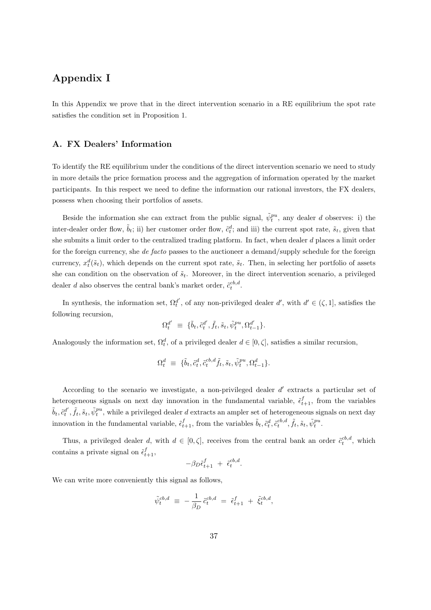# Appendix I

In this Appendix we prove that in the direct intervention scenario in a RE equilibrium the spot rate satisfies the condition set in Proposition 1.

#### A. FX Dealers' Information

To identify the RE equilibrium under the conditions of the direct intervention scenario we need to study in more details the price formation process and the aggregation of information operated by the market participants. In this respect we need to define the information our rational investors, the FX dealers, possess when choosing their portfolios of assets.

Beside the information she can extract from the public signal,  $\tilde{\psi}_t^{pu}$ , any dealer d observes: i) the inter-dealer order flow,  $\tilde{b}_t$ ; ii) her customer order flow,  $\tilde{c}_t^d$ ; and iii) the current spot rate,  $\tilde{s}_t$ , given that she submits a limit order to the centralized trading platform. In fact, when dealer d places a limit order for the foreign currency, she de facto passes to the auctioneer a demand/supply schedule for the foreign currency,  $x_t^d(\tilde{s}_t)$ , which depends on the current spot rate,  $\tilde{s}_t$ . Then, in selecting her portfolio of assets she can condition on the observation of  $\tilde{s}_t$ . Moreover, in the direct intervention scenario, a privileged dealer *d* also observes the central bank's market order,  $\tilde{c}_t^{cb,d}$ .

In synthesis, the information set,  $\Omega_t^{d'}$ , of any non-privileged dealer  $d'$ , with  $d' \in (\zeta, 1]$ , satisfies the following recursion,

$$
\Omega^{d'}_t\ \equiv\ \{\tilde{b}_t,\tilde{c}^{d'}_t,\tilde{f}_t,\tilde{s}_t,\tilde{\psi}^{pu}_t,\Omega^{d'}_{t-1}\}.
$$

Analogously the information set,  $\Omega_t^d$ , of a privileged dealer  $d \in [0, \zeta]$ , satisfies a similar recursion,

$$
\Omega_t^d \ \equiv \ \{ \tilde{b}_t, \tilde{c}_t^d, \tilde{c}_t^{cb,d} \tilde{f}_t, \tilde{s}_t, \tilde{\psi}_t^{pu}, \Omega_{t-1}^d \}.
$$

According to the scenario we investigate, a non-privileged dealer  $d'$  extracts a particular set of heterogeneous signals on next day innovation in the fundamental variable,  $\tilde{\epsilon}_{t+1}^f$ , from the variables  $\tilde{b}_t$ ,  $\tilde{c}_t^{d'}, \tilde{f}_t$ ,  $\tilde{s}_t$ ,  $\tilde{\psi}_t^{pu}$ , while a privileged dealer d extracts an ampler set of heterogeneous signals on next day innovation in the fundamental variable,  $\tilde{c}_{t+1}^f$ , from the variables  $\tilde{b}_t, \tilde{c}_t^d, \tilde{c}_t^{cb,d}, \tilde{f}_t, \tilde{s}_t, \tilde{\psi}_t^{pu}$ .

Thus, a privileged dealer d, with  $d \in [0, \zeta]$ , receives from the central bank an order  $\tilde{c}^{cb,d}_t$ , which contains a private signal on  $\tilde{\epsilon}^f_{t+1}$ ,

$$
-\beta_D \tilde{\epsilon}_{t+1}^f + \tilde{\epsilon}_t^{cb,d}.
$$

We can write more conveniently this signal as follows,

$$
\tilde{\psi}_t^{cb,d} \ \equiv \ -\frac{1}{\beta_D} \, \tilde{c}_t^{cb,d} \ = \ \tilde{\epsilon}_{t+1}^f \ + \ \tilde{\xi}_t^{cb,d},
$$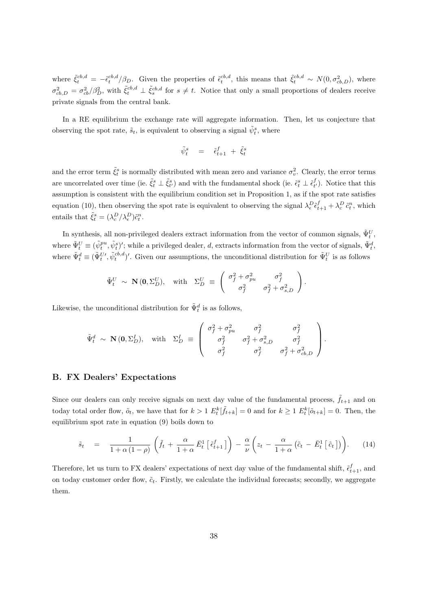where  $\tilde{\xi}_t^{cb,d} = -\tilde{\epsilon}_t^{cb,d}/\beta_D$ . Given the properties of  $\tilde{\epsilon}_t^{cb,d}$ , this means that  $\tilde{\xi}_t^{cb,d} \sim N(0, \sigma_{cb,D}^2)$ , where  $\sigma_{cb,D}^2 = \sigma_{cb}^2/\beta_D^2$ , with  $\tilde{\xi}_t^{cb,d} \perp \tilde{\xi}_s^{cb,d}$  for  $s \neq t$ . Notice that only a small proportions of dealers receive private signals from the central bank.

In a RE equilibrium the exchange rate will aggregate information. Then, let us conjecture that observing the spot rate,  $\tilde{s}_t$ , is equivalent to observing a signal  $\tilde{\psi}_t^s$ , where

$$
\tilde{\psi}^s_t \quad = \quad \tilde{\epsilon}^f_{t+1} \; + \; \tilde{\xi}^s_t
$$

and the error term  $\tilde{\xi}_t^s$  is normally distributed with mean zero and variance  $\sigma_v^2$ . Clearly, the error terms are uncorrelated over time (ie.  $\tilde{\xi}_t^s \perp \tilde{\xi}_{t'}^s$ ) and with the fundamental shock (ie.  $\tilde{\epsilon}_t^s \perp \tilde{\epsilon}_{t'}^f$ ). Notice that this assumption is consistent with the equilibrium condition set in Proposition 1, as if the spot rate satisfies equation (10), then observing the spot rate is equivalent to observing the signal  $\lambda_{\epsilon}^D \tilde{\epsilon}_{t+1}^f + \lambda_c^D \tilde{c}_t^n$ , which entails that  $\tilde{\xi}_t^s = (\lambda_c^D/\lambda_{\epsilon}^D)\tilde{c}_t^n$ .

In synthesis, all non-privileged dealers extract information from the vector of common signals,  $\tilde{\Psi}_t^U$ , where  $\tilde{\Psi}_t^U \equiv (\tilde{\psi}_t^{pu}, \tilde{\psi}_t^s)'$ ; while a privileged dealer, d, extracts information from the vector of signals,  $\tilde{\Psi}_t^d$ , where  $\tilde{\Psi}_t^d \equiv (\tilde{\Psi}_t^{U}, \tilde{\psi}_t^{cb,d})'$ . Given our assumptions, the unconditional distribution for  $\tilde{\Psi}_t^U$  is as follows

$$
\tilde{\Psi}_t^U \sim \mathbf{N}(\mathbf{0}, \Sigma_D^U), \quad \text{with} \quad \Sigma_D^U \equiv \begin{pmatrix} \sigma_f^2 + \sigma_{pu}^2 & \sigma_f^2 \\ \sigma_f^2 & \sigma_f^2 + \sigma_{s,D}^2 \end{pmatrix}.
$$

Likewise, the unconditional distribution for  $\tilde{\Psi}_t^d$  is as follows,

$$
\tilde{\Psi}_t^d \sim \mathbf{N}(\mathbf{0}, \Sigma_D^I), \quad \text{with} \quad \Sigma_D^I \equiv \begin{pmatrix} \sigma_f^2 + \sigma_{pu}^2 & \sigma_f^2 & \sigma_f^2 \\ \sigma_f^2 & \sigma_f^2 + \sigma_{s,D}^2 & \sigma_f^2 \\ \sigma_f^2 & \sigma_f^2 & \sigma_f^2 + \sigma_{cb,D}^2 \end{pmatrix}.
$$

#### B. FX Dealers' Expectations

Since our dealers can only receive signals on next day value of the fundamental process,  $\tilde{f}_{t+1}$  and on today total order flow,  $\tilde{o}_t$ , we have that for  $k > 1$   $E_t^k[\tilde{f}_{t+k}] = 0$  and for  $k \ge 1$   $E_t^k[\tilde{o}_{t+k}] = 0$ . Then, the equilibrium spot rate in equation (9) boils down to

$$
\tilde{s}_t = \frac{1}{1 + \alpha (1 - \rho)} \left( \tilde{f}_t + \frac{\alpha}{1 + \alpha} \bar{E}_t^1 \left[ \tilde{\epsilon}_{t+1}^f \right] \right) - \frac{\alpha}{\nu} \left( z_t - \frac{\alpha}{1 + \alpha} \left( \tilde{c}_t - \bar{E}_t^1 \left[ \tilde{c}_t \right] \right) \right).
$$
 (14)

Therefore, let us turn to FX dealers' expectations of next day value of the fundamental shift,  $\tilde{\epsilon}^f_{t+1}$ , and on today customer order flow,  $\tilde{c}_t$ . Firstly, we calculate the individual forecasts; secondly, we aggregate them.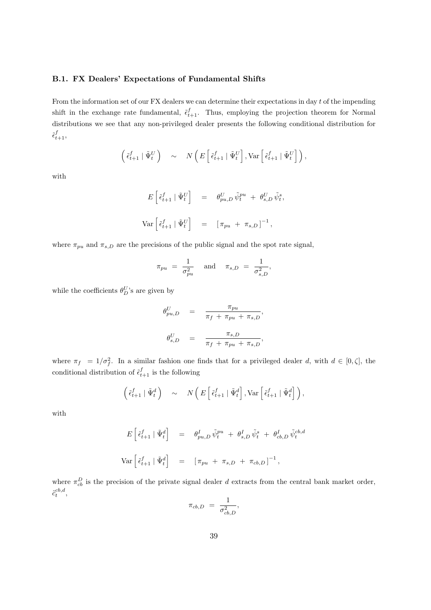#### B.1. FX Dealers' Expectations of Fundamental Shifts

From the information set of our FX dealers we can determine their expectations in day  $t$  of the impending shift in the exchange rate fundamental,  $\tilde{\epsilon}_{t+1}^f$ . Thus, employing the projection theorem for Normal distributions we see that any non-privileged dealer presents the following conditional distribution for  $\tilde{\epsilon}^f_{t+1},$ 

$$
\left(\begin{smallmatrix} \tilde{\epsilon}_{t+1}^f & \tilde{\Psi}_t^U \end{smallmatrix}\right) \quad \sim \quad N\left(E\left[\begin{smallmatrix} \tilde{\epsilon}_{t+1}^f & \tilde{\Psi}_t^U \end{smallmatrix}\right], \text{Var}\left[\begin{smallmatrix} \tilde{\epsilon}_{t+1}^f & \tilde{\Psi}_t^U \end{smallmatrix}\right]\right),
$$

with

$$
E\left[\tilde{\epsilon}_{t+1}^f \mid \tilde{\Psi}_t^U\right] = \theta_{pu,D}^U \tilde{\psi}_t^{pu} + \theta_{s,D}^U \tilde{\psi}_t^s,
$$
  

$$
\text{Var}\left[\tilde{\epsilon}_{t+1}^f \mid \tilde{\Psi}_t^U\right] = \left[\pi_{pu} + \pi_{s,D}\right]^{-1},
$$

where  $\pi_{pu}$  and  $\pi_{s,D}$  are the precisions of the public signal and the spot rate signal,

$$
\pi_{pu} = \frac{1}{\sigma_{pu}^2} \quad \text{and} \quad \pi_{s,D} = \frac{1}{\sigma_{s,D}^2},
$$

while the coefficients  $\theta_D^U$ 's are given by

$$
\begin{array}{rcl}\n\theta_{pu,D}^U & = & \frac{\pi_{pu}}{\pi_f + \pi_{pu} + \pi_{s,D}}, \\
\theta_{s,D}^U & = & \frac{\pi_{s,D}}{\pi_f + \pi_{pu} + \pi_{s,D}},\n\end{array}
$$

where  $\pi_f = 1/\sigma_f^2$ . In a similar fashion one finds that for a privileged dealer d, with  $d \in [0, \zeta]$ , the conditional distribution of  $\tilde{\epsilon}_{t+1}^f$  is the following

$$
\left(\tilde{\epsilon}_{t+1}^f \mid \tilde{\Psi}_t^d\right) \sim N\left(E\left[\tilde{\epsilon}_{t+1}^f \mid \tilde{\Psi}_t^d\right], \text{Var}\left[\tilde{\epsilon}_{t+1}^f \mid \tilde{\Psi}_t^d\right]\right),\,
$$

with

$$
E\left[\tilde{\epsilon}_{t+1}^f \mid \tilde{\Psi}_t^d\right] = \theta_{pu,D}^I \tilde{\psi}_t^{pu} + \theta_{s,D}^I \tilde{\psi}_t^s + \theta_{cb,D}^I \tilde{\psi}_t^{cb,d}
$$
  

$$
\text{Var}\left[\tilde{\epsilon}_{t+1}^f \mid \tilde{\Psi}_t^d\right] = \left[\pi_{pu} + \pi_{s,D} + \pi_{cb,D}\right]^{-1},
$$

where  $\pi_{cb}^D$  is the precision of the private signal dealer d extracts from the central bank market order,  $\tilde{c}^{cb,d}_t,$ 

$$
\pi_{cb,D} = \frac{1}{\sigma_{cb,D}^2},
$$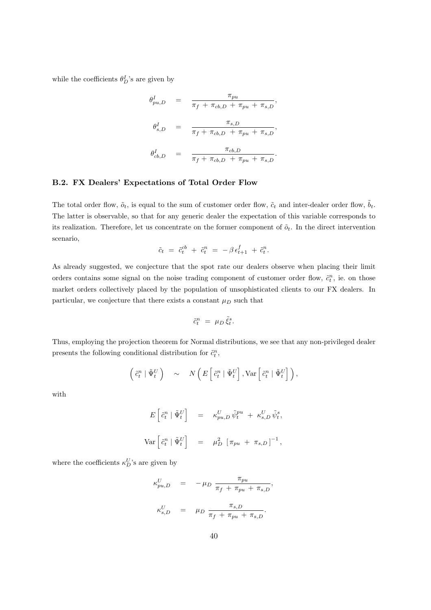while the coefficients  $\theta_D^I$ 's are given by

$$
\theta_{pu,D}^I = \frac{\pi_{pu}}{\pi_f + \pi_{cb,D} + \pi_{pu} + \pi_{s,D}},
$$
  

$$
\theta_{s,D}^I = \frac{\pi_{s,D}}{\pi_f + \pi_{cb,D} + \pi_{pu} + \pi_{s,D}},
$$
  

$$
\theta_{cb,D}^I = \frac{\pi_{cb,D}}{\pi_f + \pi_{cb,D} + \pi_{pu} + \pi_{s,D}}.
$$

#### B.2. FX Dealers' Expectations of Total Order Flow

The total order flow,  $\tilde{o}_t$ , is equal to the sum of customer order flow,  $\tilde{c}_t$  and inter-dealer order flow,  $\tilde{b}_t$ . The latter is observable, so that for any generic dealer the expectation of this variable corresponds to its realization. Therefore, let us concentrate on the former component of  $\tilde{o}_t$ . In the direct intervention scenario,

$$
\tilde{c}_t = \tilde{c}_t^{cb} + \tilde{c}_t^{n} = -\beta \, \epsilon_{t+1}^{f} + \tilde{c}_t^{n}.
$$

As already suggested, we conjecture that the spot rate our dealers observe when placing their limit orders contains some signal on the noise trading component of customer order flow,  $\tilde{c}_t^n$ , ie. on those market orders collectively placed by the population of unsophisticated clients to our FX dealers. In particular, we conjecture that there exists a constant  $\mu_D$  such that

$$
\tilde{c}_t^n \ = \ \mu_D \, \tilde{\xi}_t^s.
$$

Thus, employing the projection theorem for Normal distributions, we see that any non-privileged dealer presents the following conditional distribution for  $\tilde{c}_t^n$ ,

$$
\left(\begin{matrix} \tilde{c}_t^n \mid \tilde{\Psi}_t^U \end{matrix}\right) \quad \sim \quad N\left(E\left[\begin{matrix} \tilde{c}_t^n \mid \tilde{\Psi}_t^U \end{matrix}\right], \text{Var}\left[\begin{matrix} \tilde{c}_t^n \mid \tilde{\Psi}_t^U \end{matrix}\right]\right),
$$

with

$$
E\left[\tilde{c}_t^n \mid \tilde{\Psi}_t^U\right] = \kappa_{pu,D}^U \tilde{\psi}_t^{pu} + \kappa_{s,D}^U \tilde{\psi}_t^s,
$$
  

$$
Var\left[\tilde{c}_t^n \mid \tilde{\Psi}_t^U\right] = \mu_D^2 \left[\pi_{pu} + \pi_{s,D}\right]^{-1},
$$

where the coefficients  $\kappa_D^U$ 's are given by

$$
\begin{array}{rcl}\n\kappa_{pu,D}^U & = & -\mu_D \frac{\pi_{pu}}{\pi_f + \pi_{pu} + \pi_{s,D}}, \\
\kappa_{s,D}^U & = & \mu_D \frac{\pi_{s,D}}{\pi_f + \pi_{pu} + \pi_{s,D}}.\n\end{array}
$$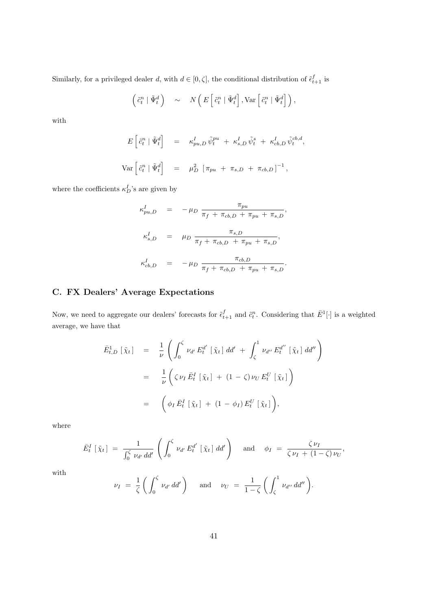Similarly, for a privileged dealer d, with  $d \in [0, \zeta]$ , the conditional distribution of  $\tilde{\epsilon}_{t+1}^f$  is

$$
\left(\tilde{c}_t^n \mid \tilde{\Psi}_t^d\right) \sim N\left(E\left[\tilde{c}_t^n \mid \tilde{\Psi}_t^d\right], \text{Var}\left[\tilde{c}_t^n \mid \tilde{\Psi}_t^d\right]\right),\,
$$

with

$$
E\left[\tilde{c}_t^n \mid \tilde{\Psi}_t^d\right] = \kappa_{pu,D}^I \tilde{\psi}_t^{pu} + \kappa_{s,D}^I \tilde{\psi}_t^s + \kappa_{cb,D}^I \tilde{\psi}_t^{cb,d},
$$
  

$$
Var\left[\tilde{c}_t^n \mid \tilde{\Psi}_t^d\right] = \mu_D^2 \left[\pi_{pu} + \pi_{s,D} + \pi_{cb,D}\right]^{-1},
$$

where the coefficients  $\kappa_D^I$ 's are given by

$$
\begin{array}{rcl}\n\kappa_{pu,D}^I & = & -\mu_D \frac{\pi_{pu}}{\pi_f + \pi_{cb,D} + \pi_{pu} + \pi_{s,D}}, \\
\kappa_{s,D}^I & = & \mu_D \frac{\pi_{s,D}}{\pi_f + \pi_{cb,D} + \pi_{pu} + \pi_{s,D}}, \\
\kappa_{cb,D}^I & = & -\mu_D \frac{\pi_{cb,D}}{\pi_f + \pi_{cb,D} + \pi_{pu} + \pi_{s,D}}.\n\end{array}
$$

# C. FX Dealers' Average Expectations

Now, we need to aggregate our dealers' forecasts for  $\tilde{\epsilon}_{t+1}^f$  and  $\tilde{c}_t^n$ . Considering that  $\bar{E}^1[\cdot]$  is a weighted average, we have that

$$
\begin{array}{rcl}\n\bar{E}_{t,D}^{1} \left[ \tilde{\chi}_{t} \right] & = & \frac{1}{\nu} \left( \int_{0}^{\zeta} \nu_{d'} E_{t}^{d'} \left[ \tilde{\chi}_{t} \right] dd' + \int_{\zeta}^{1} \nu_{d''} E_{t}^{d''} \left[ \tilde{\chi}_{t} \right] dd'' \right) \\
& = & \frac{1}{\nu} \left( \zeta \nu_{I} \, \bar{E}_{t}^{I} \left[ \tilde{\chi}_{t} \right] + (1 - \zeta) \nu_{U} E_{t}^{U} \left[ \tilde{\chi}_{t} \right] \right) \\
& = & \left( \phi_{I} \, \bar{E}_{t}^{I} \left[ \tilde{\chi}_{t} \right] + (1 - \phi_{I}) E_{t}^{U} \left[ \tilde{\chi}_{t} \right] \right),\n\end{array}
$$

where

$$
\bar{E}_t^I\left[\tilde{\chi}_t\right] = \frac{1}{\int_0^{\zeta} \nu_{d'} d d'} \left(\int_0^{\zeta} \nu_{d'} E_t^{d'}\left[\tilde{\chi}_t\right] d d'\right) \quad \text{and} \quad \phi_I = \frac{\zeta \nu_I}{\zeta \nu_I + (1-\zeta) \nu_U},
$$

with

$$
\nu_I = \frac{1}{\zeta} \left( \int_0^{\zeta} \nu_{d'} \, dd' \right) \quad \text{and} \quad \nu_U = \frac{1}{1-\zeta} \left( \int_{\zeta}^1 \nu_{d''} \, dd'' \right).
$$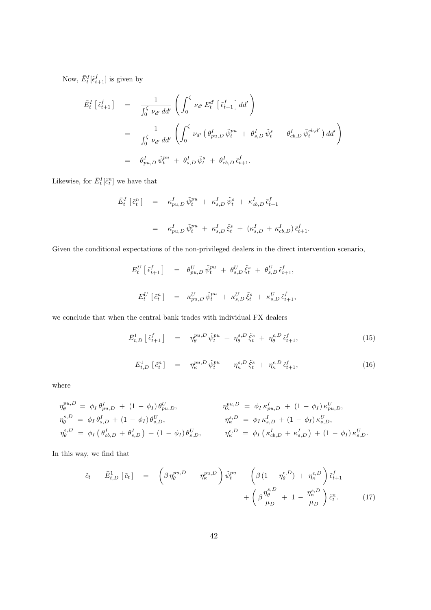Now,  $\bar{E}_{t}^{I}[\tilde{\epsilon}_{t+1}^{f}]$  is given by

$$
\begin{split}\n\bar{E}_{t}^{I} \left[ \tilde{\epsilon}_{t+1}^{f} \right] &= \frac{1}{\int_{0}^{\zeta} \nu_{d'} d d'} \left( \int_{0}^{\zeta} \nu_{d'} E_{t}^{d'} \left[ \tilde{\epsilon}_{t+1}^{f} \right] d d' \right) \\
&= \frac{1}{\int_{0}^{\zeta} \nu_{d'} d d'} \left( \int_{0}^{\zeta} \nu_{d'} \left( \theta_{pu,D}^{I} \tilde{\psi}_{t}^{pu} + \theta_{s,D}^{I} \tilde{\psi}_{t}^{s} + \theta_{cb,D}^{I} \tilde{\psi}_{t}^{cb,d'} \right) d d' \right) \\
&= \theta_{pu,D}^{I} \tilde{\psi}_{t}^{pu} + \theta_{s,D}^{I} \tilde{\psi}_{t}^{s} + \theta_{cb,D}^{I} \tilde{\epsilon}_{t+1}^{f}.\n\end{split}
$$

Likewise, for  $\bar{E}_t^I[\tilde{c}_t^n]$  we have that

$$
\begin{array}{rcl}\n\bar{E}^I_t \left[ \tilde{c}^n_t \right] & = & \kappa^I_{pu,D} \, \tilde{\psi}^{pu}_t \; + \; \kappa^I_{s,D} \, \tilde{\psi}^s_t \; + \; \kappa^I_{cb,D} \, \tilde{\epsilon}^f_{t+1} \\
\\
& = & \kappa^I_{pu,D} \, \tilde{\psi}^{pu}_t \; + \; \kappa^I_{s,D} \, \tilde{\xi}^s_t \; + \; (\kappa^I_{s,D} \; + \; \kappa^I_{cb,D}) \, \tilde{\epsilon}^f_{t+1}.\n\end{array}
$$

Given the conditional expectations of the non-privileged dealers in the direct intervention scenario,

$$
E_t^U \left[ \tilde{\epsilon}_{t+1}^f \right] = \theta_{pu,D}^U \tilde{\psi}_t^{pu} + \theta_{s,D}^U \tilde{\xi}_t^s + \theta_{s,D}^U \tilde{\epsilon}_{t+1}^f,
$$
  

$$
E_t^U \left[ \tilde{c}_t^n \right] = \kappa_{pu,D}^U \tilde{\psi}_t^{pu} + \kappa_{s,D}^U \tilde{\xi}_t^s + \kappa_{s,D}^U \tilde{\epsilon}_{t+1}^f,
$$

we conclude that when the central bank trades with individual FX dealers

$$
\bar{E}^{1}_{t,D} \left[ \tilde{\epsilon}^{f}_{t+1} \right] = \eta_{\theta}^{pu, D} \tilde{\psi}^{pu}_{t} + \eta_{\theta}^{s, D} \tilde{\xi}^{s}_{t} + \eta_{\theta}^{\epsilon, D} \tilde{\epsilon}^{f}_{t+1}, \qquad (15)
$$

$$
\bar{E}_{t,D}^1 \begin{bmatrix} \tilde{c}_t^n \end{bmatrix} = \eta_{\kappa}^{pu, D} \tilde{\psi}_t^{pu} + \eta_{\kappa}^{s, D} \tilde{\xi}_t^s + \eta_{\kappa}^{\epsilon, D} \tilde{\epsilon}_{t+1}^f, \tag{16}
$$

where

$$
\eta_{\theta}^{pu,D} = \phi_I \theta_{pu,D}^I + (1 - \phi_I) \theta_{pu,D}^U, \n\eta_{\theta}^{s,D} = \phi_I \theta_{s,D}^I + (1 - \phi_I) \theta_{s,D}^U, \n\eta_{\theta}^{s,D} = \phi_I \left( \theta_{cb,D}^I + \theta_{s,D}^I \right) + (1 - \phi_I) \theta_{s,D}^U, \n\eta_{\kappa}^{s,D} = \phi_I \left( \kappa_{cb,D}^I + \kappa_{s,D}^I \right) + (1 - \phi_I) \kappa_{s,D}^U,
$$
\n
$$
\eta_{\theta}^{s,D} = \phi_I \left( \theta_{cb,D}^I + \theta_{s,D}^I \right) + (1 - \phi_I) \theta_{s,D}^U, \n\eta_{\kappa}^{s,D} = \phi_I \left( \kappa_{cb,D}^I + \kappa_{s,D}^I \right) + (1 - \phi_I) \kappa_{s,D}^U.
$$

In this way, we find that

$$
\tilde{c}_t - \bar{E}^1_{t,D} [\tilde{c}_t] = \left( \beta \eta_{\theta}^{pu, D} - \eta_{\kappa}^{pu, D} \right) \tilde{\psi}_t^{pu} - \left( \beta (1 - \eta_{\theta}^{\epsilon, D}) + \eta_{\kappa}^{\epsilon, D} \right) \tilde{\epsilon}_{t+1}^f + \left( \beta \frac{\eta_{\theta}^{s, D}}{\mu_D} + 1 - \frac{\eta_{\kappa}^{s, D}}{\mu_D} \right) \tilde{c}_t^n. \tag{17}
$$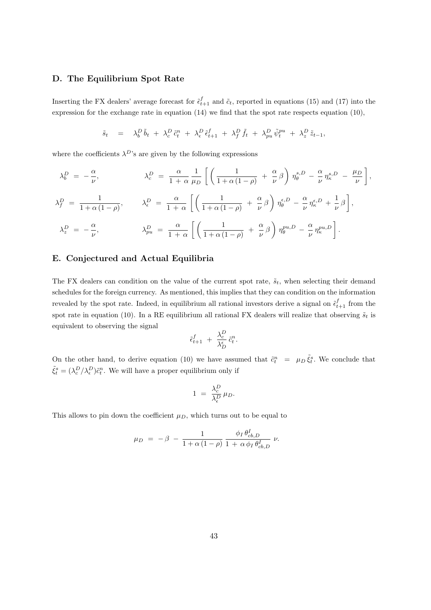#### D. The Equilibrium Spot Rate

Inserting the FX dealers' average forecast for  $\tilde{\epsilon}_{t+1}^f$  and  $\tilde{c}_t$ , reported in equations (15) and (17) into the expression for the exchange rate in equation (14) we find that the spot rate respects equation (10),

$$
\tilde{s}_t = \lambda_b^D \tilde{b}_t + \lambda_c^D \tilde{c}_t^n + \lambda_{\epsilon}^D \tilde{\epsilon}_{t+1}^f + \lambda_f^D \tilde{f}_t + \lambda_{pu}^D \tilde{\psi}_t^{pu} + \lambda_z^D \tilde{z}_{t-1},
$$

where the coefficients  $\lambda^D$ 's are given by the following expressions

$$
\lambda_b^D = -\frac{\alpha}{\nu}, \qquad \lambda_c^D = \frac{\alpha}{1+\alpha} \frac{1}{\mu_D} \left[ \left( \frac{1}{1+\alpha(1-\rho)} + \frac{\alpha}{\nu} \beta \right) \eta_{\theta}^{s,D} - \frac{\alpha}{\nu} \eta_{\kappa}^{s,D} - \frac{\mu_D}{\nu} \right],
$$
  

$$
\lambda_f^D = \frac{1}{1+\alpha(1-\rho)}, \qquad \lambda_{\epsilon}^D = \frac{\alpha}{1+\alpha} \left[ \left( \frac{1}{1+\alpha(1-\rho)} + \frac{\alpha}{\nu} \beta \right) \eta_{\theta}^{\epsilon,D} - \frac{\alpha}{\nu} \eta_{\kappa}^{\epsilon,D} + \frac{1}{\nu} \beta \right],
$$
  

$$
\lambda_z^D = -\frac{\alpha}{\nu}, \qquad \lambda_{pu}^D = \frac{\alpha}{1+\alpha} \left[ \left( \frac{1}{1+\alpha(1-\rho)} + \frac{\alpha}{\nu} \beta \right) \eta_{\theta}^{pu,D} - \frac{\alpha}{\nu} \eta_{\kappa}^{pu,D} \right].
$$

#### E. Conjectured and Actual Equilibria

The FX dealers can condition on the value of the current spot rate,  $\tilde{s}_t$ , when selecting their demand schedules for the foreign currency. As mentioned, this implies that they can condition on the information revealed by the spot rate. Indeed, in equilibrium all rational investors derive a signal on  $\tilde{\epsilon}_{t+1}^f$  from the spot rate in equation (10). In a RE equilibrium all rational FX dealers will realize that observing  $\tilde{s}_t$  is equivalent to observing the signal

$$
\tilde{\epsilon}_{t+1}^f \; + \; \frac{\lambda_c^D}{\lambda_D^{\epsilon}} \, \tilde{c}_t^n.
$$

On the other hand, to derive equation (10) we have assumed that  $\tilde{c}_t^n = \mu_D \tilde{\xi}_t^s$ . We conclude that  $\tilde{\xi}_t^s = (\lambda_c^D/\lambda_\epsilon^D)\tilde{c}_t^n$ . We will have a proper equilibrium only if

$$
1 ~=~ \frac{\lambda_c^D}{\lambda_{\epsilon}^D} \, \mu_D.
$$

This allows to pin down the coefficient  $\mu_D$ , which turns out to be equal to

$$
\mu_D = -\beta - \frac{1}{1 + \alpha (1 - \rho)} \frac{\phi_I \, \theta_{cb,D}^I}{1 + \alpha \, \phi_I \, \theta_{cb,D}^I} \, \nu.
$$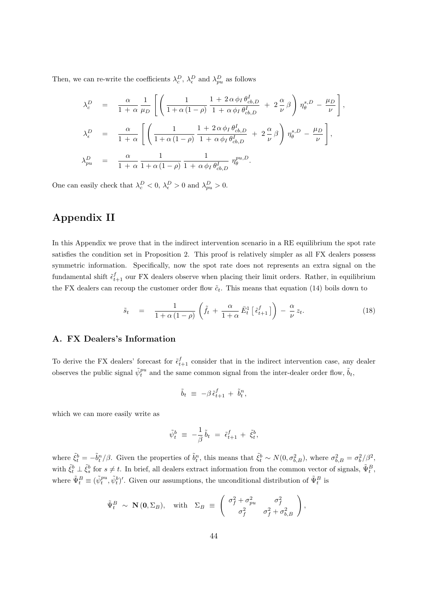Then, we can re-write the coefficients  $\lambda_c^D$ ,  $\lambda_{\epsilon}^D$  and  $\lambda_{pu}^D$  as follows

$$
\begin{array}{rcl} \lambda_c^D & = & \displaystyle \frac{\alpha}{1+\alpha}\frac{1}{\mu_D}\left[\left(\frac{1}{1+\alpha(1-\rho)}\frac{1+2\,\alpha\,\phi_I\,\theta_{cb,D}^I}{1+\alpha\,\phi_I\,\theta_{cb,D}^I}\,+\,2\,\frac{\alpha}{\nu}\,\beta\right)\eta_{\theta}^{s,D}-\frac{\mu_D}{\nu}\right],\\[0.4cm] \lambda_{\epsilon}^D & = & \displaystyle \frac{\alpha}{1+\alpha}\left[\left(\frac{1}{1+\alpha(1-\rho)}\frac{1+2\,\alpha\,\phi_I\,\theta_{cb,D}^I}{1+\alpha\,\phi_I\,\theta_{cb,D}^I}\,+\,2\,\frac{\alpha}{\nu}\,\beta\right)\eta_{\theta}^{s,D}-\frac{\mu_D}{\nu}\right],\\[0.4cm] \lambda_{pu}^D & = & \displaystyle \frac{\alpha}{1+\alpha}\frac{1}{1+\alpha(1-\rho)}\frac{1}{1+\alpha\,\phi_I\,\theta_{cb,D}^I}\,\eta_{\theta}^{pu,D}. \end{array}
$$

One can easily check that  $\lambda_c^D < 0$ ,  $\lambda_{\epsilon}^D > 0$  and  $\lambda_{pu}^D > 0$ .

# Appendix II

In this Appendix we prove that in the indirect intervention scenario in a RE equilibrium the spot rate satisfies the condition set in Proposition 2. This proof is relatively simpler as all FX dealers possess symmetric information. Specifically, now the spot rate does not represents an extra signal on the fundamental shift  $\tilde{\epsilon}_{t+1}^f$  our FX dealers observe when placing their limit orders. Rather, in equilibrium the FX dealers can recoup the customer order flow  $\tilde{c}_t$ . This means that equation (14) boils down to

$$
\tilde{s}_t = \frac{1}{1 + \alpha (1 - \rho)} \left( \tilde{f}_t + \frac{\alpha}{1 + \alpha} \bar{E}_t^1 \left[ \tilde{\epsilon}_{t+1}^f \right] \right) - \frac{\alpha}{\nu} z_t.
$$
\n(18)

#### A. FX Dealers's Information

To derive the FX dealers' forecast for  $\tilde{\epsilon}_{t+1}^f$  consider that in the indirect intervention case, any dealer observes the public signal  $\tilde{\psi}_t^{pu}$  and the same common signal from the inter-dealer order flow,  $\tilde{b}_t$ ,

$$
\tilde{b}_t \ \equiv \ -\beta \, \tilde{\epsilon}^f_{t+1} \, + \, \tilde{b}^n_t,
$$

which we can more easily write as

$$
\tilde{\psi}_t^b \;\equiv\; -\frac{1}{\beta}\, \tilde{b}_t \;=\; \tilde{\epsilon}_{t+1}^f \,+\; \tilde{\xi}_t^b,
$$

where  $\tilde{\xi}_t^b = -\tilde{b}_t^n/\beta$ . Given the properties of  $\tilde{b}_t^n$ , this means that  $\tilde{\xi}_t^b \sim N(0, \sigma_{b,B}^2)$ , where  $\sigma_{b,B}^2 = \sigma_b^2/\beta^2$ , with  $\tilde{\xi}^b_t \perp \tilde{\xi}^b_s$  for  $s \neq t$ . In brief, all dealers extract information from the common vector of signals,  $\tilde{\Psi}^B_t$ , where  $\tilde{\Psi}_t^B \equiv (\tilde{\psi}_t^{pu}, \tilde{\psi}_t^b)'$ . Given our assumptions, the unconditional distribution of  $\tilde{\Psi}_t^B$  is

$$
\tilde{\Psi}_t^B \sim \mathbf{N}(\mathbf{0}, \Sigma_B), \quad \text{with} \quad \Sigma_B \equiv \begin{pmatrix} \sigma_f^2 + \sigma_{pu}^2 & \sigma_f^2 \\ \sigma_f^2 & \sigma_f^2 + \sigma_{b,B}^2 \end{pmatrix},
$$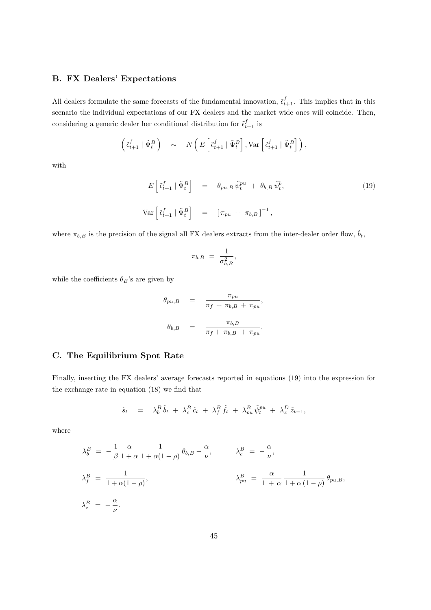## B. FX Dealers' Expectations

All dealers formulate the same forecasts of the fundamental innovation,  $\tilde{\epsilon}_{t+1}^f$ . This implies that in this scenario the individual expectations of our FX dealers and the market wide ones will coincide. Then, considering a generic dealer her conditional distribution for  $\tilde{\epsilon}_{t+1}^f$  is

$$
\left(\begin{matrix} \tilde{\epsilon}_{t+1}^f \mid \tilde{\Psi}_t^B \end{matrix}\right) \quad \sim \quad N\left(E\left[\begin{matrix} \tilde{\epsilon}_{t+1}^f \mid \tilde{\Psi}_t^B \end{matrix}\right], \text{Var}\left[\begin{matrix} \tilde{\epsilon}_{t+1}^f \mid \tilde{\Psi}_t^B \end{matrix}\right]\right),
$$

with

$$
E\left[\tilde{\epsilon}_{t+1}^{f} \mid \tilde{\Psi}_{t}^{B}\right] = \theta_{pu,B} \tilde{\psi}_{t}^{pu} + \theta_{b,B} \tilde{\psi}_{t}^{b},
$$
\n
$$
\text{Var}\left[\tilde{\epsilon}_{t+1}^{f} \mid \tilde{\Psi}_{t}^{B}\right] = \left[\pi_{pu} + \pi_{b,B}\right]^{-1},
$$
\n(19)

where  $\pi_{b,B}$  is the precision of the signal all FX dealers extracts from the inter-dealer order flow,  $\tilde{b}_t$ ,

$$
\pi_{b,B}\ =\ \frac{1}{\sigma_{b,B}^2},
$$

while the coefficients  $\theta_B$ 's are given by

$$
\theta_{pu,B} = \frac{\pi_{pu}}{\pi_f + \pi_{b,B} + \pi_{pu}},
$$
  

$$
\theta_{b,B} = \frac{\pi_{b,B}}{\pi_f + \pi_{b,B} + \pi_{pu}}.
$$

#### C. The Equilibrium Spot Rate

Finally, inserting the FX dealers' average forecasts reported in equations (19) into the expression for the exchange rate in equation (18) we find that

$$
\tilde{s}_t = \lambda_b^B \tilde{b}_t + \lambda_c^B \tilde{c}_t + \lambda_f^B \tilde{f}_t + \lambda_{pu}^B \tilde{\psi}_t^{pu} + \lambda_z^D \tilde{z}_{t-1},
$$

where

$$
\lambda_b^B = -\frac{1}{\beta} \frac{\alpha}{1+\alpha} \frac{1}{1+\alpha(1-\rho)} \theta_{b,B} - \frac{\alpha}{\nu}, \qquad \lambda_c^B = -\frac{\alpha}{\nu},
$$
  

$$
\lambda_f^B = \frac{1}{1+\alpha(1-\rho)}, \qquad \lambda_{pu}^B = \frac{\alpha}{1+\alpha} \frac{1}{1+\alpha(1-\rho)} \theta_{pu,B},
$$
  

$$
\lambda_z^B = -\frac{\alpha}{\nu}.
$$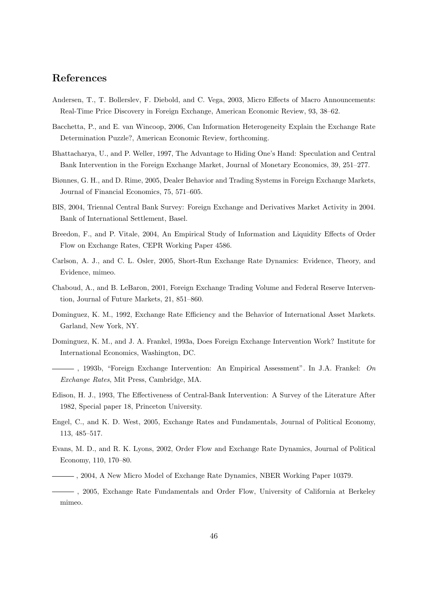# References

- Andersen, T., T. Bollerslev, F. Diebold, and C. Vega, 2003, Micro Effects of Macro Announcements: Real-Time Price Discovery in Foreign Exchange, American Economic Review, 93, 38–62.
- Bacchetta, P., and E. van Wincoop, 2006, Can Information Heterogeneity Explain the Exchange Rate Determination Puzzle?, American Economic Review, forthcoming.
- Bhattacharya, U., and P. Weller, 1997, The Advantage to Hiding One's Hand: Speculation and Central Bank Intervention in the Foreign Exchange Market, Journal of Monetary Economics, 39, 251–277.
- Biønnes, G. H., and D. Rime, 2005, Dealer Behavior and Trading Systems in Foreign Exchange Markets, Journal of Financial Economics, 75, 571–605.
- BIS, 2004, Triennal Central Bank Survey: Foreign Exchange and Derivatives Market Activity in 2004. Bank of International Settlement, Basel.
- Breedon, F., and P. Vitale, 2004, An Empirical Study of Information and Liquidity Effects of Order Flow on Exchange Rates, CEPR Working Paper 4586.
- Carlson, A. J., and C. L. Osler, 2005, Short-Run Exchange Rate Dynamics: Evidence, Theory, and Evidence, mimeo.
- Chaboud, A., and B. LeBaron, 2001, Foreign Exchange Trading Volume and Federal Reserve Intervention, Journal of Future Markets, 21, 851–860.
- Dominguez, K. M., 1992, Exchange Rate Efficiency and the Behavior of International Asset Markets. Garland, New York, NY.
- Dominguez, K. M., and J. A. Frankel, 1993a, Does Foreign Exchange Intervention Work? Institute for International Economics, Washington, DC.
- $-$ , 1993b, "Foreign Exchange Intervention: An Empirical Assessment". In J.A. Frankel: On Exchange Rates, Mit Press, Cambridge, MA.
- Edison, H. J., 1993, The Effectiveness of Central-Bank Intervention: A Survey of the Literature After 1982, Special paper 18, Princeton University.
- Engel, C., and K. D. West, 2005, Exchange Rates and Fundamentals, Journal of Political Economy, 113, 485–517.
- Evans, M. D., and R. K. Lyons, 2002, Order Flow and Exchange Rate Dynamics, Journal of Political Economy, 110, 170–80.
- , 2004, A New Micro Model of Exchange Rate Dynamics, NBER Working Paper 10379.
- , 2005, Exchange Rate Fundamentals and Order Flow, University of California at Berkeley mimeo.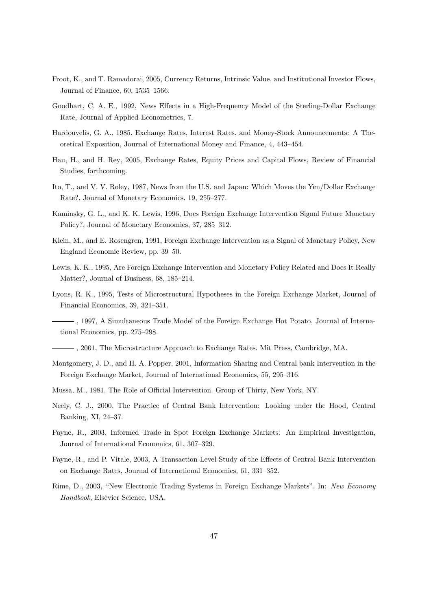- Froot, K., and T. Ramadorai, 2005, Currency Returns, Intrinsic Value, and Institutional Investor Flows, Journal of Finance, 60, 1535–1566.
- Goodhart, C. A. E., 1992, News Effects in a High-Frequency Model of the Sterling-Dollar Exchange Rate, Journal of Applied Econometrics, 7.
- Hardouvelis, G. A., 1985, Exchange Rates, Interest Rates, and Money-Stock Announcements: A Theoretical Exposition, Journal of International Money and Finance, 4, 443–454.
- Hau, H., and H. Rey, 2005, Exchange Rates, Equity Prices and Capital Flows, Review of Financial Studies, forthcoming.
- Ito, T., and V. V. Roley, 1987, News from the U.S. and Japan: Which Moves the Yen/Dollar Exchange Rate?, Journal of Monetary Economics, 19, 255–277.
- Kaminsky, G. L., and K. K. Lewis, 1996, Does Foreign Exchange Intervention Signal Future Monetary Policy?, Journal of Monetary Economics, 37, 285–312.
- Klein, M., and E. Rosengren, 1991, Foreign Exchange Intervention as a Signal of Monetary Policy, New England Economic Review, pp. 39–50.
- Lewis, K. K., 1995, Are Foreign Exchange Intervention and Monetary Policy Related and Does It Really Matter?, Journal of Business, 68, 185–214.
- Lyons, R. K., 1995, Tests of Microstructural Hypotheses in the Foreign Exchange Market, Journal of Financial Economics, 39, 321–351.
- , 1997, A Simultaneous Trade Model of the Foreign Exchange Hot Potato, Journal of International Economics, pp. 275–298.
- , 2001, The Microstructure Approach to Exchange Rates. Mit Press, Cambridge, MA.
- Montgomery, J. D., and H. A. Popper, 2001, Information Sharing and Central bank Intervention in the Foreign Exchange Market, Journal of International Economics, 55, 295–316.
- Mussa, M., 1981, The Role of Official Intervention. Group of Thirty, New York, NY.
- Neely, C. J., 2000, The Practice of Central Bank Intervention: Looking under the Hood, Central Banking, XI, 24–37.
- Payne, R., 2003, Informed Trade in Spot Foreign Exchange Markets: An Empirical Investigation, Journal of International Economics, 61, 307–329.
- Payne, R., and P. Vitale, 2003, A Transaction Level Study of the Effects of Central Bank Intervention on Exchange Rates, Journal of International Economics, 61, 331–352.
- Rime, D., 2003, "New Electronic Trading Systems in Foreign Exchange Markets". In: New Economy Handbook, Elsevier Science, USA.